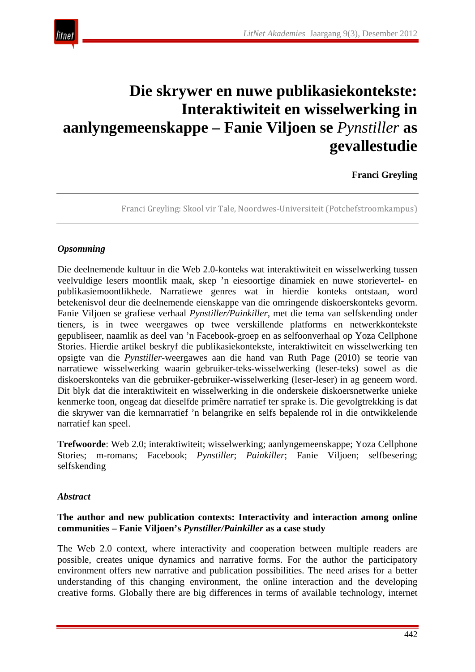

# **Die skrywer en nuwe publikasiekontekste: Interaktiwiteit en wisselwerking in aanlyngemeenskappe – Fanie Viljoen se** *Pynstiller* **as gevallestudie**

# **Franci Greyling**

Franci Greyling: Skool vir Tale, Noordwes-Universiteit (Potchefstroomkampus)

#### *Opsomming*

Die deelnemende kultuur in die Web 2.0-konteks wat interaktiwiteit en wisselwerking tussen veelvuldige lesers moontlik maak, skep 'n eiesoortige dinamiek en nuwe storievertel- en publikasiemoontlikhede. Narratiewe genres wat in hierdie konteks ontstaan, word betekenisvol deur die deelnemende eienskappe van die omringende diskoerskonteks gevorm. Fanie Viljoen se grafiese verhaal *Pynstiller/Painkiller*, met die tema van selfskending onder tieners, is in twee weergawes op twee verskillende platforms en netwerkkontekste gepubliseer, naamlik as deel van 'n Facebook-groep en as selfoonverhaal op Yoza Cellphone Stories. Hierdie artikel beskryf die publikasiekontekste, interaktiwiteit en wisselwerking ten opsigte van die *Pynstiller*-weergawes aan die hand van Ruth Page (2010) se teorie van narratiewe wisselwerking waarin gebruiker-teks-wisselwerking (leser-teks) sowel as die diskoerskonteks van die gebruiker-gebruiker-wisselwerking (leser-leser) in ag geneem word. Dit blyk dat die interaktiwiteit en wisselwerking in die onderskeie diskoersnetwerke unieke kenmerke toon, ongeag dat dieselfde primêre narratief ter sprake is. Die gevolgtrekking is dat die skrywer van die kernnarratief 'n belangrike en selfs bepalende rol in die ontwikkelende narratief kan speel.

**Trefwoorde**: Web 2.0; interaktiwiteit; wisselwerking; aanlyngemeenskappe; Yoza Cellphone Stories; m-romans; Facebook; *Pynstiller*; *Painkiller*; Fanie Viljoen; selfbesering; selfskending

#### *Abstract*

#### **The author and new publication contexts: Interactivity and interaction among online communities – Fanie Viljoen's** *Pynstiller/Painkiller* **as a case study**

The Web 2.0 context, where interactivity and cooperation between multiple readers are possible, creates unique dynamics and narrative forms. For the author the participatory environment offers new narrative and publication possibilities. The need arises for a better understanding of this changing environment, the online interaction and the developing creative forms. Globally there are big differences in terms of available technology, internet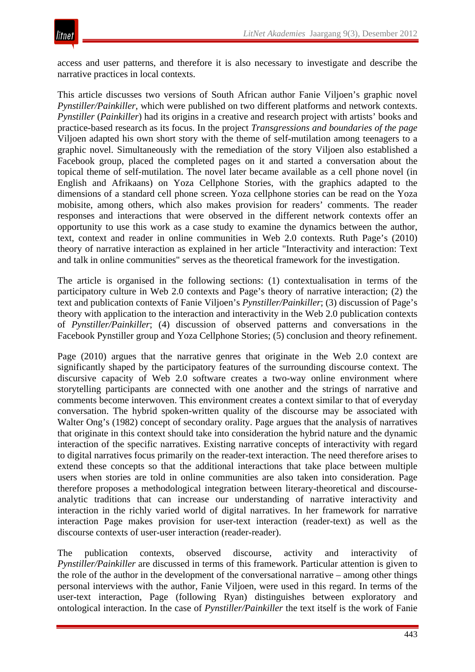access and user patterns, and therefore it is also necessary to investigate and describe the narrative practices in local contexts.

This article discusses two versions of South African author Fanie Viljoen's graphic novel *Pynstiller/Painkiller*, which were published on two different platforms and network contexts. *Pynstiller* (*Painkiller*) had its origins in a creative and research project with artists' books and practice-based research as its focus. In the project *Transgressions and boundaries of the page* Viljoen adapted his own short story with the theme of self-mutilation among teenagers to a graphic novel. Simultaneously with the remediation of the story Viljoen also established a Facebook group, placed the completed pages on it and started a conversation about the topical theme of self-mutilation. The novel later became available as a cell phone novel (in English and Afrikaans) on Yoza Cellphone Stories, with the graphics adapted to the dimensions of a standard cell phone screen. Yoza cellphone stories can be read on the Yoza mobisite, among others, which also makes provision for readers' comments. The reader responses and interactions that were observed in the different network contexts offer an opportunity to use this work as a case study to examine the dynamics between the author, text, context and reader in online communities in Web 2.0 contexts. Ruth Page's (2010) theory of narrative interaction as explained in her article "Interactivity and interaction: Text and talk in online communities" serves as the theoretical framework for the investigation.

The article is organised in the following sections: (1) contextualisation in terms of the participatory culture in Web 2.0 contexts and Page's theory of narrative interaction; (2) the text and publication contexts of Fanie Viljoen's *Pynstiller/Painkiller*; (3) discussion of Page's theory with application to the interaction and interactivity in the Web 2.0 publication contexts of *Pynstiller/Painkiller*; (4) discussion of observed patterns and conversations in the Facebook Pynstiller group and Yoza Cellphone Stories; (5) conclusion and theory refinement.

Page (2010) argues that the narrative genres that originate in the Web 2.0 context are significantly shaped by the participatory features of the surrounding discourse context. The discursive capacity of Web 2.0 software creates a two-way online environment where storytelling participants are connected with one another and the strings of narrative and comments become interwoven. This environment creates a context similar to that of everyday conversation. The hybrid spoken-written quality of the discourse may be associated with Walter Ong's (1982) concept of secondary orality. Page argues that the analysis of narratives that originate in this context should take into consideration the hybrid nature and the dynamic interaction of the specific narratives. Existing narrative concepts of interactivity with regard to digital narratives focus primarily on the reader-text interaction. The need therefore arises to extend these concepts so that the additional interactions that take place between multiple users when stories are told in online communities are also taken into consideration. Page therefore proposes a methodological integration between literary-theoretical and discourseanalytic traditions that can increase our understanding of narrative interactivity and interaction in the richly varied world of digital narratives. In her framework for narrative interaction Page makes provision for user-text interaction (reader-text) as well as the discourse contexts of user-user interaction (reader-reader).

The publication contexts, observed discourse, activity and interactivity of *Pynstiller/Painkiller* are discussed in terms of this framework. Particular attention is given to the role of the author in the development of the conversational narrative – among other things personal interviews with the author, Fanie Viljoen, were used in this regard. In terms of the user-text interaction, Page (following Ryan) distinguishes between exploratory and ontological interaction. In the case of *Pynstiller/Painkiller* the text itself is the work of Fanie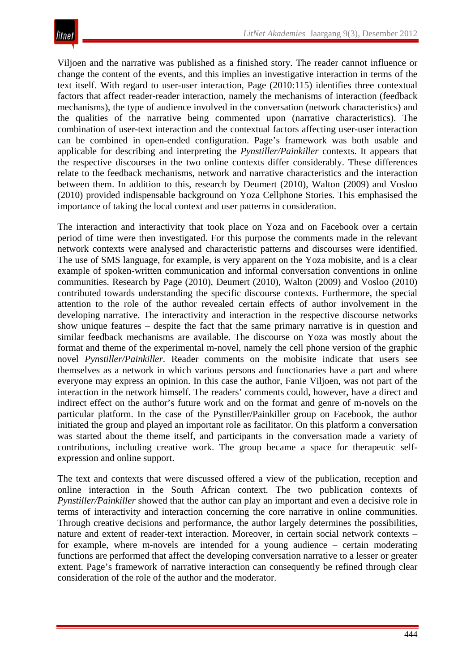Viljoen and the narrative was published as a finished story. The reader cannot influence or change the content of the events, and this implies an investigative interaction in terms of the text itself. With regard to user-user interaction, Page (2010:115) identifies three contextual factors that affect reader-reader interaction, namely the mechanisms of interaction (feedback mechanisms), the type of audience involved in the conversation (network characteristics) and the qualities of the narrative being commented upon (narrative characteristics). The combination of user-text interaction and the contextual factors affecting user-user interaction can be combined in open-ended configuration. Page's framework was both usable and applicable for describing and interpreting the *Pynstiller/Painkiller* contexts. It appears that the respective discourses in the two online contexts differ considerably. These differences relate to the feedback mechanisms, network and narrative characteristics and the interaction between them. In addition to this, research by Deumert (2010), Walton (2009) and Vosloo (2010) provided indispensable background on Yoza Cellphone Stories. This emphasised the importance of taking the local context and user patterns in consideration.

The interaction and interactivity that took place on Yoza and on Facebook over a certain period of time were then investigated. For this purpose the comments made in the relevant network contexts were analysed and characteristic patterns and discourses were identified. The use of SMS language, for example, is very apparent on the Yoza mobisite, and is a clear example of spoken-written communication and informal conversation conventions in online communities. Research by Page (2010), Deumert (2010), Walton (2009) and Vosloo (2010) contributed towards understanding the specific discourse contexts. Furthermore, the special attention to the role of the author revealed certain effects of author involvement in the developing narrative. The interactivity and interaction in the respective discourse networks show unique features – despite the fact that the same primary narrative is in question and similar feedback mechanisms are available. The discourse on Yoza was mostly about the format and theme of the experimental m-novel, namely the cell phone version of the graphic novel *Pynstiller/Painkiller*. Reader comments on the mobisite indicate that users see themselves as a network in which various persons and functionaries have a part and where everyone may express an opinion. In this case the author, Fanie Viljoen, was not part of the interaction in the network himself. The readers' comments could, however, have a direct and indirect effect on the author's future work and on the format and genre of m-novels on the particular platform. In the case of the Pynstiller/Painkiller group on Facebook, the author initiated the group and played an important role as facilitator. On this platform a conversation was started about the theme itself, and participants in the conversation made a variety of contributions, including creative work. The group became a space for therapeutic selfexpression and online support.

The text and contexts that were discussed offered a view of the publication, reception and online interaction in the South African context. The two publication contexts of *Pynstiller/Painkiller* showed that the author can play an important and even a decisive role in terms of interactivity and interaction concerning the core narrative in online communities. Through creative decisions and performance, the author largely determines the possibilities, nature and extent of reader-text interaction. Moreover, in certain social network contexts – for example, where m-novels are intended for a young audience – certain moderating functions are performed that affect the developing conversation narrative to a lesser or greater extent. Page's framework of narrative interaction can consequently be refined through clear consideration of the role of the author and the moderator.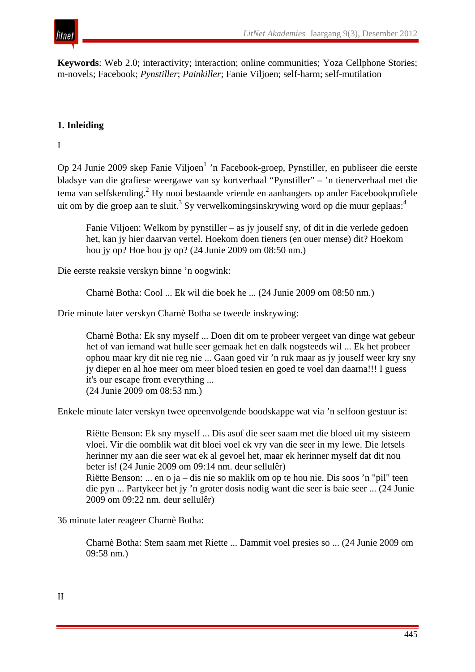

**Keywords**: Web 2.0; interactivity; interaction; online communities; Yoza Cellphone Stories; m-novels; Facebook; *Pynstiller*; *Painkiller*; Fanie Viljoen; self-harm; self-mutilation

#### **1. Inleiding**

I

Op 24 Junie 2009 skep Fanie Viljoen<sup>1</sup> 'n Facebook-groep, Pynstiller, en publiseer die eerste bladsye van die grafiese weergawe van sy kortverhaal "Pynstiller" *–* 'n tienerverhaal met die tema van selfskending.2 Hy nooi bestaande vriende en aanhangers op ander Facebookprofiele uit om by die groep aan te sluit.<sup>3</sup> Sy verwelkomingsinskrywing word op die muur geplaas:<sup>4</sup>

Fanie Viljoen: Welkom by pynstiller – as jy jouself sny, of dit in die verlede gedoen het, kan jy hier daarvan vertel. Hoekom doen tieners (en ouer mense) dit? Hoekom hou jy op? Hoe hou jy op? (24 Junie 2009 om 08:50 nm.)

Die eerste reaksie verskyn binne 'n oogwink:

Charnè Botha: Cool ... Ek wil die boek he ... (24 Junie 2009 om 08:50 nm.)

Drie minute later verskyn Charnè Botha se tweede inskrywing:

Charnè Botha: Ek sny myself ... Doen dit om te probeer vergeet van dinge wat gebeur het of van iemand wat hulle seer gemaak het en dalk nogsteeds wil ... Ek het probeer ophou maar kry dit nie reg nie ... Gaan goed vir 'n ruk maar as jy jouself weer kry sny jy dieper en al hoe meer om meer bloed tesien en goed te voel dan daarna!!! I guess it's our escape from everything ... (24 Junie 2009 om 08:53 nm.)

Enkele minute later verskyn twee opeenvolgende boodskappe wat via 'n selfoon gestuur is:

Riëtte Benson: Ek sny myself ... Dis asof die seer saam met die bloed uit my sisteem vloei. Vir die oomblik wat dit bloei voel ek vry van die seer in my lewe. Die letsels herinner my aan die seer wat ek al gevoel het, maar ek herinner myself dat dit nou beter is! (24 Junie 2009 om 09:14 nm. deur sellulêr) Riëtte Benson: ... en o ja – dis nie so maklik om op te hou nie. Dis soos 'n "pil" teen

die pyn ... Partykeer het jy 'n groter dosis nodig want die seer is baie seer ... (24 Junie 2009 om 09:22 nm. deur sellulêr)

36 minute later reageer Charnè Botha:

Charnè Botha: Stem saam met Riette ... Dammit voel presies so ... (24 Junie 2009 om 09:58 nm.)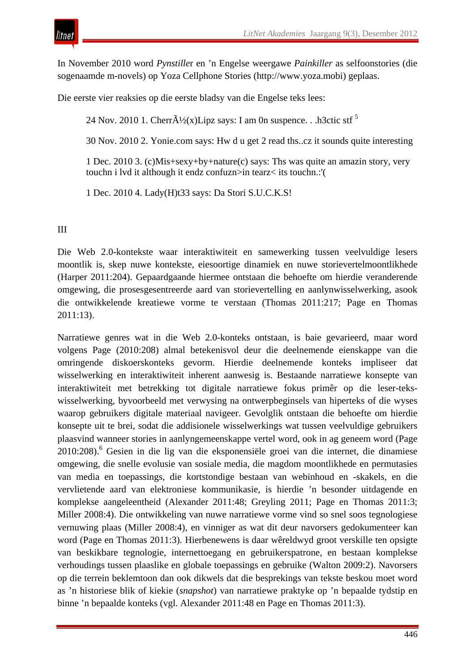In November 2010 word *Pynstille*r en 'n Engelse weergawe *Painkiller* as selfoonstories (die sogenaamde m-novels) op Yoza Cellphone Stories (http://www.yoza.mobi) geplaas.

Die eerste vier reaksies op die eerste bladsy van die Engelse teks lees:

24 Nov. 2010 1. Cherr $\tilde{A}/(x)$ Lipz says: I am 0n suspence. . .h3ctic stf<sup>5</sup>

30 Nov. 2010 2. Yonie.com says: Hw d u get 2 read ths..cz it sounds quite interesting

1 Dec. 2010 3. (c)Mis+sexy+by+nature(c) says: Ths was quite an amazin story, very touchn i lvd it although it endz confuzn>in tearz< its touchn.:'(

1 Dec. 2010 4. Lady(H)t33 says: Da Stori S.U.C.K.S!

III

Die Web 2.0-kontekste waar interaktiwiteit en samewerking tussen veelvuldige lesers moontlik is, skep nuwe kontekste, eiesoortige dinamiek en nuwe storievertelmoontlikhede (Harper 2011:204). Gepaardgaande hiermee ontstaan die behoefte om hierdie veranderende omgewing, die prosesgesentreerde aard van storievertelling en aanlynwisselwerking, asook die ontwikkelende kreatiewe vorme te verstaan (Thomas 2011:217; Page en Thomas 2011:13).

Narratiewe genres wat in die Web 2.0-konteks ontstaan, is baie gevarieerd, maar word volgens Page (2010:208) almal betekenisvol deur die deelnemende eienskappe van die omringende diskoerskonteks gevorm. Hierdie deelnemende konteks impliseer dat wisselwerking en interaktiwiteit inherent aanwesig is. Bestaande narratiewe konsepte van interaktiwiteit met betrekking tot digitale narratiewe fokus primêr op die leser-tekswisselwerking, byvoorbeeld met verwysing na ontwerpbeginsels van hiperteks of die wyses waarop gebruikers digitale materiaal navigeer. Gevolglik ontstaan die behoefte om hierdie konsepte uit te brei, sodat die addisionele wisselwerkings wat tussen veelvuldige gebruikers plaasvind wanneer stories in aanlyngemeenskappe vertel word, ook in ag geneem word (Page 2010:208).<sup>6</sup> Gesien in die lig van die eksponensiële groei van die internet, die dinamiese omgewing, die snelle evolusie van sosiale media, die magdom moontlikhede en permutasies van media en toepassings, die kortstondige bestaan van webinhoud en -skakels, en die vervlietende aard van elektroniese kommunikasie, is hierdie 'n besonder uitdagende en komplekse aangeleentheid (Alexander 2011:48; Greyling 2011; Page en Thomas 2011:3; Miller 2008:4). Die ontwikkeling van nuwe narratiewe vorme vind so snel soos tegnologiese vernuwing plaas (Miller 2008:4), en vinniger as wat dit deur navorsers gedokumenteer kan word (Page en Thomas 2011:3). Hierbenewens is daar wêreldwyd groot verskille ten opsigte van beskikbare tegnologie, internettoegang en gebruikerspatrone, en bestaan komplekse verhoudings tussen plaaslike en globale toepassings en gebruike (Walton 2009:2). Navorsers op die terrein beklemtoon dan ook dikwels dat die besprekings van tekste beskou moet word as 'n historiese blik of kiekie (*snapshot*) van narratiewe praktyke op 'n bepaalde tydstip en binne 'n bepaalde konteks (vgl. Alexander 2011:48 en Page en Thomas 2011:3).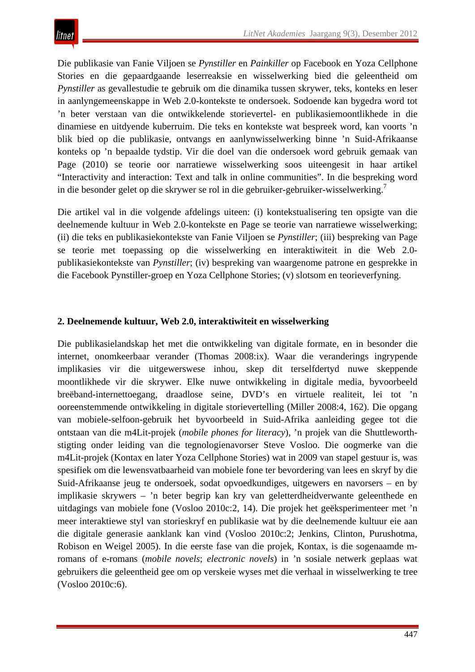Die publikasie van Fanie Viljoen se *Pynstiller* en *Painkiller* op Facebook en Yoza Cellphone Stories en die gepaardgaande leserreaksie en wisselwerking bied die geleentheid om *Pynstiller* as gevallestudie te gebruik om die dinamika tussen skrywer, teks, konteks en leser in aanlyngemeenskappe in Web 2.0-kontekste te ondersoek. Sodoende kan bygedra word tot 'n beter verstaan van die ontwikkelende storievertel- en publikasiemoontlikhede in die dinamiese en uitdyende kuberruim. Die teks en kontekste wat bespreek word, kan voorts 'n blik bied op die publikasie, ontvangs en aanlynwisselwerking binne 'n Suid-Afrikaanse konteks op 'n bepaalde tydstip. Vir die doel van die ondersoek word gebruik gemaak van Page (2010) se teorie oor narratiewe wisselwerking soos uiteengesit in haar artikel "Interactivity and interaction: Text and talk in online communities". In die bespreking word in die besonder gelet op die skrywer se rol in die gebruiker-gebruiker-wisselwerking.7

Die artikel val in die volgende afdelings uiteen: (i) kontekstualisering ten opsigte van die deelnemende kultuur in Web 2.0-kontekste en Page se teorie van narratiewe wisselwerking; (ii) die teks en publikasiekontekste van Fanie Viljoen se *Pynstiller*; (iii) bespreking van Page se teorie met toepassing op die wisselwerking en interaktiwiteit in die Web 2.0 publikasiekontekste van *Pynstiller*; (iv) bespreking van waargenome patrone en gesprekke in die Facebook Pynstiller-groep en Yoza Cellphone Stories; (v) slotsom en teorieverfyning.

## **2. Deelnemende kultuur, Web 2.0, interaktiwiteit en wisselwerking**

Die publikasielandskap het met die ontwikkeling van digitale formate, en in besonder die internet, onomkeerbaar verander (Thomas 2008:ix). Waar die veranderings ingrypende implikasies vir die uitgewerswese inhou, skep dit terselfdertyd nuwe skeppende moontlikhede vir die skrywer. Elke nuwe ontwikkeling in digitale media, byvoorbeeld breëband-internettoegang, draadlose seine, DVD's en virtuele realiteit, lei tot 'n ooreenstemmende ontwikkeling in digitale storievertelling (Miller 2008:4, 162). Die opgang van mobiele-selfoon-gebruik het byvoorbeeld in Suid-Afrika aanleiding gegee tot die ontstaan van die m4Lit-projek (*mobile phones for literacy*), 'n projek van die Shuttleworthstigting onder leiding van die tegnologienavorser Steve Vosloo. Die oogmerke van die m4Lit-projek (Kontax en later Yoza Cellphone Stories) wat in 2009 van stapel gestuur is, was spesifiek om die lewensvatbaarheid van mobiele fone ter bevordering van lees en skryf by die Suid-Afrikaanse jeug te ondersoek, sodat opvoedkundiges, uitgewers en navorsers – en by implikasie skrywers – 'n beter begrip kan kry van geletterdheidverwante geleenthede en uitdagings van mobiele fone (Vosloo 2010c:2, 14). Die projek het geëksperimenteer met 'n meer interaktiewe styl van storieskryf en publikasie wat by die deelnemende kultuur eie aan die digitale generasie aanklank kan vind (Vosloo 2010c:2; Jenkins, Clinton, Purushotma, Robison en Weigel 2005). In die eerste fase van die projek, Kontax, is die sogenaamde mromans of e-romans (*mobile novels*; *electronic novels*) in 'n sosiale netwerk geplaas wat gebruikers die geleentheid gee om op verskeie wyses met die verhaal in wisselwerking te tree (Vosloo 2010c:6).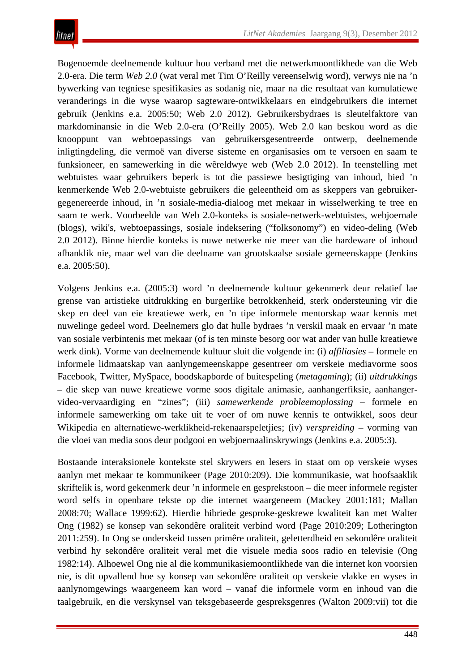Bogenoemde deelnemende kultuur hou verband met die netwerkmoontlikhede van die Web 2.0-era. Die term *Web 2.0* (wat veral met Tim O'Reilly vereenselwig word), verwys nie na 'n bywerking van tegniese spesifikasies as sodanig nie, maar na die resultaat van kumulatiewe veranderings in die wyse waarop sagteware-ontwikkelaars en eindgebruikers die internet gebruik (Jenkins e.a*.* 2005:50; Web 2.0 2012). Gebruikersbydraes is sleutelfaktore van markdominansie in die Web 2.0-era (O'Reilly 2005). Web 2.0 kan beskou word as die knooppunt van webtoepassings van gebruikersgesentreerde ontwerp, deelnemende inligtingdeling, die vermoë van diverse sisteme en organisasies om te versoen en saam te funksioneer, en samewerking in die wêreldwye web (Web 2.0 2012). In teenstelling met webtuistes waar gebruikers beperk is tot die passiewe besigtiging van inhoud, bied 'n kenmerkende Web 2.0-webtuiste gebruikers die geleentheid om as skeppers van gebruikergegenereerde inhoud, in 'n sosiale-media-dialoog met mekaar in wisselwerking te tree en saam te werk. Voorbeelde van Web 2.0-konteks is sosiale-netwerk-webtuistes, webjoernale (blogs), wiki's, webtoepassings, sosiale indeksering ("folksonomy") en video-deling (Web 2.0 2012). Binne hierdie konteks is nuwe netwerke nie meer van die hardeware of inhoud afhanklik nie, maar wel van die deelname van grootskaalse sosiale gemeenskappe (Jenkins e.a. 2005:50).

Volgens Jenkins e.a. (2005:3) word 'n deelnemende kultuur gekenmerk deur relatief lae grense van artistieke uitdrukking en burgerlike betrokkenheid, sterk ondersteuning vir die skep en deel van eie kreatiewe werk, en 'n tipe informele mentorskap waar kennis met nuwelinge gedeel word. Deelnemers glo dat hulle bydraes 'n verskil maak en ervaar 'n mate van sosiale verbintenis met mekaar (of is ten minste besorg oor wat ander van hulle kreatiewe werk dink). Vorme van deelnemende kultuur sluit die volgende in: (i) *affiliasies* – formele en informele lidmaatskap van aanlyngemeenskappe gesentreer om verskeie mediavorme soos Facebook, Twitter, MySpace, boodskapborde of buitespeling (*metagaming*); (ii) *uitdrukkings* – die skep van nuwe kreatiewe vorme soos digitale animasie, aanhangerfiksie, aanhangervideo-vervaardiging en "zines"; (iii) *samewerkende probleemoplossing* – formele en informele samewerking om take uit te voer of om nuwe kennis te ontwikkel, soos deur Wikipedia en alternatiewe-werklikheid-rekenaarspeletjies; (iv) *verspreiding* – vorming van die vloei van media soos deur podgooi en webjoernaalinskrywings (Jenkins e.a. 2005:3).

Bostaande interaksionele kontekste stel skrywers en lesers in staat om op verskeie wyses aanlyn met mekaar te kommunikeer (Page 2010:209). Die kommunikasie, wat hoofsaaklik skriftelik is, word gekenmerk deur 'n informele en gesprekstoon – die meer informele register word selfs in openbare tekste op die internet waargeneem (Mackey 2001:181; Mallan 2008:70; Wallace 1999:62). Hierdie hibriede gesproke-geskrewe kwaliteit kan met Walter Ong (1982) se konsep van sekondêre oraliteit verbind word (Page 2010:209; Lotherington 2011:259). In Ong se onderskeid tussen primêre oraliteit, geletterdheid en sekondêre oraliteit verbind hy sekondêre oraliteit veral met die visuele media soos radio en televisie (Ong 1982:14). Alhoewel Ong nie al die kommunikasiemoontlikhede van die internet kon voorsien nie, is dit opvallend hoe sy konsep van sekondêre oraliteit op verskeie vlakke en wyses in aanlynomgewings waargeneem kan word – vanaf die informele vorm en inhoud van die taalgebruik, en die verskynsel van teksgebaseerde gespreksgenres (Walton 2009:vii) tot die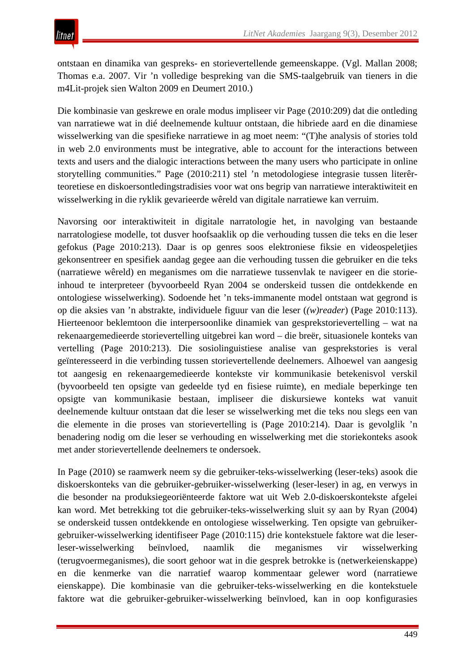ontstaan en dinamika van gespreks- en storievertellende gemeenskappe. (Vgl. Mallan 2008; Thomas e.a. 2007. Vir 'n volledige bespreking van die SMS-taalgebruik van tieners in die m4Lit-projek sien Walton 2009 en Deumert 2010.)

Die kombinasie van geskrewe en orale modus impliseer vir Page (2010:209) dat die ontleding van narratiewe wat in dié deelnemende kultuur ontstaan, die hibriede aard en die dinamiese wisselwerking van die spesifieke narratiewe in ag moet neem: "(T)he analysis of stories told in web 2.0 environments must be integrative, able to account for the interactions between texts and users and the dialogic interactions between the many users who participate in online storytelling communities." Page (2010:211) stel 'n metodologiese integrasie tussen literêrteoretiese en diskoersontledingstradisies voor wat ons begrip van narratiewe interaktiwiteit en wisselwerking in die ryklik gevarieerde wêreld van digitale narratiewe kan verruim.

Navorsing oor interaktiwiteit in digitale narratologie het, in navolging van bestaande narratologiese modelle, tot dusver hoofsaaklik op die verhouding tussen die teks en die leser gefokus (Page 2010:213). Daar is op genres soos elektroniese fiksie en videospeletjies gekonsentreer en spesifiek aandag gegee aan die verhouding tussen die gebruiker en die teks (narratiewe wêreld) en meganismes om die narratiewe tussenvlak te navigeer en die storieinhoud te interpreteer (byvoorbeeld Ryan 2004 se onderskeid tussen die ontdekkende en ontologiese wisselwerking). Sodoende het 'n teks-immanente model ontstaan wat gegrond is op die aksies van 'n abstrakte, individuele figuur van die leser (*(w)reader*) (Page 2010:113). Hierteenoor beklemtoon die interpersoonlike dinamiek van gesprekstorievertelling – wat na rekenaargemedieerde storievertelling uitgebrei kan word – die breër, situasionele konteks van vertelling (Page 2010:213). Die sosiolinguistiese analise van gesprekstories is veral geïnteresseerd in die verbinding tussen storievertellende deelnemers. Alhoewel van aangesig tot aangesig en rekenaargemedieerde kontekste vir kommunikasie betekenisvol verskil (byvoorbeeld ten opsigte van gedeelde tyd en fisiese ruimte), en mediale beperkinge ten opsigte van kommunikasie bestaan, impliseer die diskursiewe konteks wat vanuit deelnemende kultuur ontstaan dat die leser se wisselwerking met die teks nou slegs een van die elemente in die proses van storievertelling is (Page 2010:214). Daar is gevolglik 'n benadering nodig om die leser se verhouding en wisselwerking met die storiekonteks asook met ander storievertellende deelnemers te ondersoek.

In Page (2010) se raamwerk neem sy die gebruiker-teks-wisselwerking (leser-teks) asook die diskoerskonteks van die gebruiker-gebruiker-wisselwerking (leser-leser) in ag, en verwys in die besonder na produksiegeoriënteerde faktore wat uit Web 2.0-diskoerskontekste afgelei kan word. Met betrekking tot die gebruiker-teks-wisselwerking sluit sy aan by Ryan (2004) se onderskeid tussen ontdekkende en ontologiese wisselwerking. Ten opsigte van gebruikergebruiker-wisselwerking identifiseer Page (2010:115) drie kontekstuele faktore wat die leserleser-wisselwerking beïnvloed, naamlik die meganismes vir wisselwerking (terugvoermeganismes), die soort gehoor wat in die gesprek betrokke is (netwerkeienskappe) en die kenmerke van die narratief waarop kommentaar gelewer word (narratiewe eienskappe). Die kombinasie van die gebruiker-teks-wisselwerking en die kontekstuele faktore wat die gebruiker-gebruiker-wisselwerking beïnvloed, kan in oop konfigurasies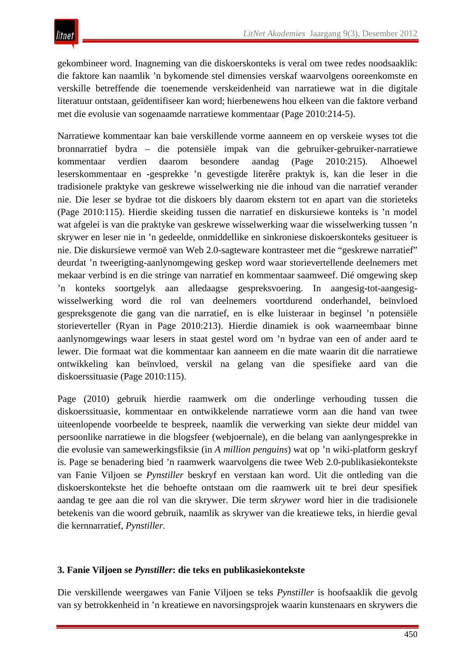gekombineer word. Inagneming van die diskoerskonteks is veral om twee redes noodsaaklik: die faktore kan naamlik 'n bykomende stel dimensies verskaf waarvolgens ooreenkomste en verskille betreffende die toenemende verskeidenheid van narratiewe wat in die digitale literatuur ontstaan, geïdentifiseer kan word; hierbenewens hou elkeen van die faktore verband met die evolusie van sogenaamde narratiewe kommentaar (Page 2010:214-5).

Narratiewe kommentaar kan baie verskillende vorme aanneem en op verskeie wyses tot die bronnarratief bydra – die potensiële impak van die gebruiker-gebruiker-narratiewe kommentaar verdien daarom besondere aandag (Page 2010:215). Alhoewel leserskommentaar en -gesprekke 'n gevestigde literêre praktyk is, kan die leser in die tradisionele praktyke van geskrewe wisselwerking nie die inhoud van die narratief verander nie. Die leser se bydrae tot die diskoers bly daarom ekstern tot en apart van die storieteks (Page 2010:115). Hierdie skeiding tussen die narratief en diskursiewe konteks is 'n model wat afgelei is van die praktyke van geskrewe wisselwerking waar die wisselwerking tussen 'n skrywer en leser nie in 'n gedeelde, onmiddellike en sinkroniese diskoerskonteks gesitueer is nie. Die diskursiewe vermoë van Web 2.0-sagteware kontrasteer met die "geskrewe narratief" deurdat 'n tweerigting-aanlynomgewing geskep word waar storievertellende deelnemers met mekaar verbind is en die stringe van narratief en kommentaar saamweef. Dié omgewing skep 'n konteks soortgelyk aan alledaagse gespreksvoering. In aangesig-tot-aangesigwisselwerking word die rol van deelnemers voortdurend onderhandel, beïnvloed gespreksgenote die gang van die narratief, en is elke luisteraar in beginsel 'n potensiële storieverteller (Ryan in Page 2010:213). Hierdie dinamiek is ook waarneembaar binne aanlynomgewings waar lesers in staat gestel word om 'n bydrae van een of ander aard te lewer. Die formaat wat die kommentaar kan aanneem en die mate waarin dit die narratiewe ontwikkeling kan beïnvloed, verskil na gelang van die spesifieke aard van die diskoerssituasie (Page 2010:115).

Page (2010) gebruik hierdie raamwerk om die onderlinge verhouding tussen die diskoerssituasie, kommentaar en ontwikkelende narratiewe vorm aan die hand van twee uiteenlopende voorbeelde te bespreek, naamlik die verwerking van siekte deur middel van persoonlike narratiewe in die blogsfeer (webjoernale), en die belang van aanlyngesprekke in die evolusie van samewerkingsfiksie (in *A million penguins*) wat op 'n wiki-platform geskryf is. Page se benadering bied 'n raamwerk waarvolgens die twee Web 2.0-publikasiekontekste van Fanie Viljoen se *Pynstiller* beskryf en verstaan kan word. Uit die ontleding van die diskoerskontekste het die behoefte ontstaan om die raamwerk uit te brei deur spesifiek aandag te gee aan die rol van die skrywer. Die term *skrywer* word hier in die tradisionele betekenis van die woord gebruik, naamlik as skrywer van die kreatiewe teks, in hierdie geval die kernnarratief, *Pynstiller.*

## **3. Fanie Viljoen se** *Pynstiller***: die teks en publikasiekontekste**

Die verskillende weergawes van Fanie Viljoen se teks *Pynstiller* is hoofsaaklik die gevolg van sy betrokkenheid in 'n kreatiewe en navorsingsprojek waarin kunstenaars en skrywers die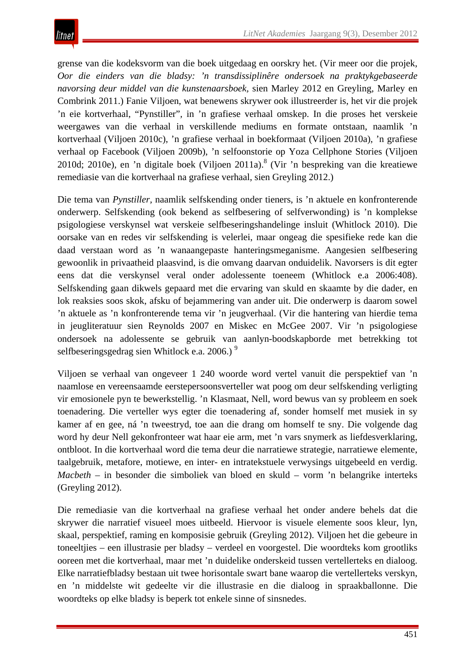grense van die kodeksvorm van die boek uitgedaag en oorskry het. (Vir meer oor die projek, *Oor die einders van die bladsy: 'n transdissiplinêre ondersoek na praktykgebaseerde navorsing deur middel van die kunstenaarsboek,* sien Marley 2012 en Greyling, Marley en Combrink 2011.) Fanie Viljoen, wat benewens skrywer ook illustreerder is, het vir die projek 'n eie kortverhaal, "Pynstiller"*,* in 'n grafiese verhaal omskep. In die proses het verskeie weergawes van die verhaal in verskillende mediums en formate ontstaan, naamlik 'n kortverhaal (Viljoen 2010c), 'n grafiese verhaal in boekformaat (Viljoen 2010a), 'n grafiese verhaal op Facebook (Viljoen 2009b), 'n selfoonstorie op Yoza Cellphone Stories (Viljoen 2010d; 2010e), en 'n digitale boek (Viljoen 2011a). <sup>8</sup> (Vir 'n bespreking van die kreatiewe remediasie van die kortverhaal na grafiese verhaal, sien Greyling 2012.)

Die tema van *Pynstiller,* naamlik selfskending onder tieners, is 'n aktuele en konfronterende onderwerp. Selfskending (ook bekend as selfbesering of selfverwonding) is 'n komplekse psigologiese verskynsel wat verskeie selfbeseringshandelinge insluit (Whitlock 2010). Die oorsake van en redes vir selfskending is velerlei, maar ongeag die spesifieke rede kan die daad verstaan word as 'n wanaangepaste hanteringsmeganisme. Aangesien selfbesering gewoonlik in privaatheid plaasvind, is die omvang daarvan onduidelik. Navorsers is dit egter eens dat die verskynsel veral onder adolessente toeneem (Whitlock e.a 2006:408). Selfskending gaan dikwels gepaard met die ervaring van skuld en skaamte by die dader, en lok reaksies soos skok, afsku of bejammering van ander uit. Die onderwerp is daarom sowel 'n aktuele as 'n konfronterende tema vir 'n jeugverhaal. (Vir die hantering van hierdie tema in jeugliteratuur sien Reynolds 2007 en Miskec en McGee 2007. Vir 'n psigologiese ondersoek na adolessente se gebruik van aanlyn-boodskapborde met betrekking tot selfbeseringsgedrag sien Whitlock e.a.  $2006$ .)<sup>9</sup>

Viljoen se verhaal van ongeveer 1 240 woorde word vertel vanuit die perspektief van 'n naamlose en vereensaamde eerstepersoonsverteller wat poog om deur selfskending verligting vir emosionele pyn te bewerkstellig. 'n Klasmaat, Nell, word bewus van sy probleem en soek toenadering. Die verteller wys egter die toenadering af, sonder homself met musiek in sy kamer af en gee, ná 'n tweestryd, toe aan die drang om homself te sny. Die volgende dag word hy deur Nell gekonfronteer wat haar eie arm, met 'n vars snymerk as liefdesverklaring, ontbloot. In die kortverhaal word die tema deur die narratiewe strategie, narratiewe elemente, taalgebruik, metafore, motiewe, en inter- en intratekstuele verwysings uitgebeeld en verdig. *Macbeth* – in besonder die simboliek van bloed en skuld – vorm 'n belangrike interteks (Greyling 2012).

Die remediasie van die kortverhaal na grafiese verhaal het onder andere behels dat die skrywer die narratief visueel moes uitbeeld. Hiervoor is visuele elemente soos kleur, lyn, skaal, perspektief, raming en komposisie gebruik (Greyling 2012). Viljoen het die gebeure in toneeltjies – een illustrasie per bladsy – verdeel en voorgestel. Die woordteks kom grootliks ooreen met die kortverhaal, maar met 'n duidelike onderskeid tussen vertellerteks en dialoog. Elke narratiefbladsy bestaan uit twee horisontale swart bane waarop die vertellerteks verskyn, en 'n middelste wit gedeelte vir die illustrasie en die dialoog in spraakballonne. Die woordteks op elke bladsy is beperk tot enkele sinne of sinsnedes.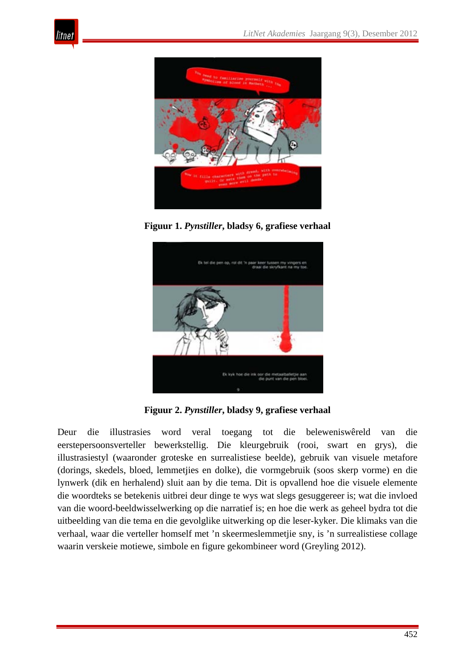



**Figuur 1.** *Pynstiller***, bladsy 6, grafiese verhaal**



**Figuur 2.** *Pynstiller***, bladsy 9, grafiese verhaal**

Deur die illustrasies word veral toegang tot die beleweniswêreld van die eerstepersoonsverteller bewerkstellig. Die kleurgebruik (rooi, swart en grys), die illustrasiestyl (waaronder groteske en surrealistiese beelde), gebruik van visuele metafore (dorings, skedels, bloed, lemmetjies en dolke), die vormgebruik (soos skerp vorme) en die lynwerk (dik en herhalend) sluit aan by die tema. Dit is opvallend hoe die visuele elemente die woordteks se betekenis uitbrei deur dinge te wys wat slegs gesuggereer is; wat die invloed van die woord-beeldwisselwerking op die narratief is; en hoe die werk as geheel bydra tot die uitbeelding van die tema en die gevolglike uitwerking op die leser-kyker. Die klimaks van die verhaal, waar die verteller homself met 'n skeermeslemmetjie sny, is 'n surrealistiese collage waarin verskeie motiewe, simbole en figure gekombineer word (Greyling 2012).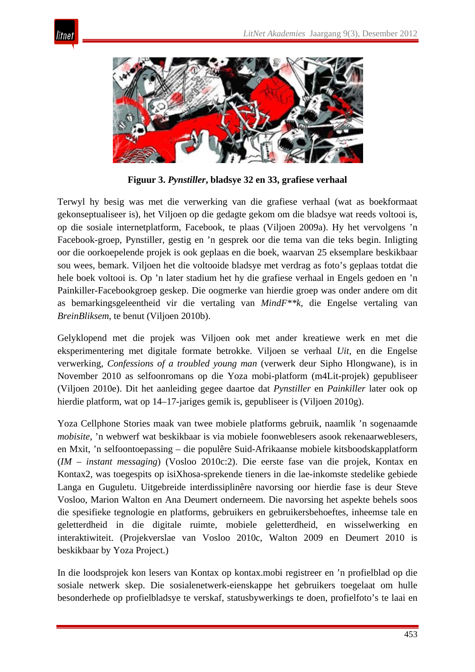



**Figuur 3.** *Pynstiller***, bladsye 32 en 33, grafiese verhaal**

Terwyl hy besig was met die verwerking van die grafiese verhaal (wat as boekformaat gekonseptualiseer is), het Viljoen op die gedagte gekom om die bladsye wat reeds voltooi is, op die sosiale internetplatform, Facebook, te plaas (Viljoen 2009a). Hy het vervolgens 'n Facebook-groep, Pynstiller, gestig en 'n gesprek oor die tema van die teks begin. Inligting oor die oorkoepelende projek is ook geplaas en die boek, waarvan 25 eksemplare beskikbaar sou wees, bemark. Viljoen het die voltooide bladsye met verdrag as foto's geplaas totdat die hele boek voltooi is. Op 'n later stadium het hy die grafiese verhaal in Engels gedoen en 'n Painkiller-Facebookgroep geskep. Die oogmerke van hierdie groep was onder andere om dit as bemarkingsgeleentheid vir die vertaling van *MindF\*\*k*, die Engelse vertaling van *BreinBliksem*, te benut (Viljoen 2010b).

Gelyklopend met die projek was Viljoen ook met ander kreatiewe werk en met die eksperimentering met digitale formate betrokke. Viljoen se verhaal *Uit*, en die Engelse verwerking, *Confessions of a troubled young man* (verwerk deur Sipho Hlongwane), is in November 2010 as selfoonromans op die Yoza mobi-platform (m4Lit-projek) gepubliseer (Viljoen 2010e). Dit het aanleiding gegee daartoe dat *Pynstiller* en *Painkiller* later ook op hierdie platform, wat op 14–17-jariges gemik is, gepubliseer is (Viljoen 2010g).

Yoza Cellphone Stories maak van twee mobiele platforms gebruik, naamlik 'n sogenaamde *mobisite*, 'n webwerf wat beskikbaar is via mobiele foonweblesers asook rekenaarweblesers, en Mxit, 'n selfoontoepassing – die populêre Suid-Afrikaanse mobiele kitsboodskapplatform (*IM* – *instant messaging*) (Vosloo 2010c:2). Die eerste fase van die projek, Kontax en Kontax2, was toegespits op isiXhosa-sprekende tieners in die lae-inkomste stedelike gebiede Langa en Guguletu. Uitgebreide interdissiplinêre navorsing oor hierdie fase is deur Steve Vosloo, Marion Walton en Ana Deumert onderneem. Die navorsing het aspekte behels soos die spesifieke tegnologie en platforms, gebruikers en gebruikersbehoeftes, inheemse tale en geletterdheid in die digitale ruimte, mobiele geletterdheid, en wisselwerking en interaktiwiteit. (Projekverslae van Vosloo 2010c, Walton 2009 en Deumert 2010 is beskikbaar by Yoza Project.)

In die loodsprojek kon lesers van Kontax op kontax.mobi registreer en 'n profielblad op die sosiale netwerk skep. Die sosialenetwerk-eienskappe het gebruikers toegelaat om hulle besonderhede op profielbladsye te verskaf, statusbywerkings te doen, profielfoto's te laai en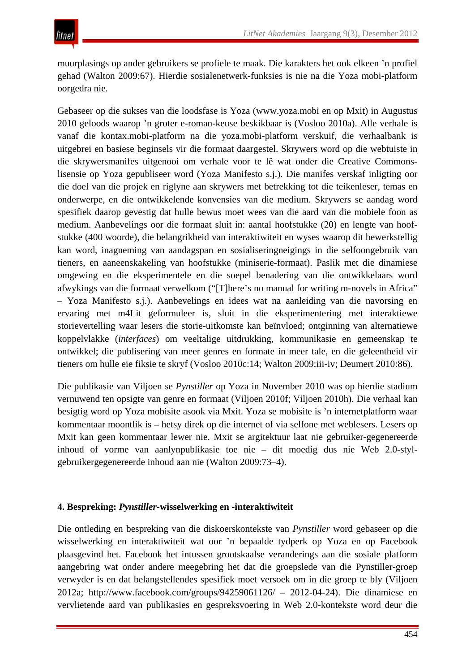muurplasings op ander gebruikers se profiele te maak. Die karakters het ook elkeen 'n profiel gehad (Walton 2009:67). Hierdie sosialenetwerk-funksies is nie na die Yoza mobi-platform oorgedra nie.

Gebaseer op die sukses van die loodsfase is Yoza (www.yoza.mobi en op Mxit) in Augustus 2010 geloods waarop 'n groter e-roman-keuse beskikbaar is (Vosloo 2010a). Alle verhale is vanaf die kontax.mobi-platform na die yoza.mobi-platform verskuif, die verhaalbank is uitgebrei en basiese beginsels vir die formaat daargestel. Skrywers word op die webtuiste in die skrywersmanifes uitgenooi om verhale voor te lê wat onder die Creative Commonslisensie op Yoza gepubliseer word (Yoza Manifesto s.j.). Die manifes verskaf inligting oor die doel van die projek en riglyne aan skrywers met betrekking tot die teikenleser, temas en onderwerpe, en die ontwikkelende konvensies van die medium. Skrywers se aandag word spesifiek daarop gevestig dat hulle bewus moet wees van die aard van die mobiele foon as medium. Aanbevelings oor die formaat sluit in: aantal hoofstukke (20) en lengte van hoofstukke (400 woorde), die belangrikheid van interaktiwiteit en wyses waarop dit bewerkstellig kan word, inagneming van aandagspan en sosialiseringneigings in die selfoongebruik van tieners, en aaneenskakeling van hoofstukke (miniserie-formaat). Paslik met die dinamiese omgewing en die eksperimentele en die soepel benadering van die ontwikkelaars word afwykings van die formaat verwelkom ("[T]here's no manual for writing m-novels in Africa" – Yoza Manifesto s.j.). Aanbevelings en idees wat na aanleiding van die navorsing en ervaring met m4Lit geformuleer is, sluit in die eksperimentering met interaktiewe storievertelling waar lesers die storie-uitkomste kan beïnvloed; ontginning van alternatiewe koppelvlakke (*interfaces*) om veeltalige uitdrukking, kommunikasie en gemeenskap te ontwikkel; die publisering van meer genres en formate in meer tale, en die geleentheid vir tieners om hulle eie fiksie te skryf (Vosloo 2010c:14; Walton 2009:iii-iv; Deumert 2010:86).

Die publikasie van Viljoen se *Pynstiller* op Yoza in November 2010 was op hierdie stadium vernuwend ten opsigte van genre en formaat (Viljoen 2010f; Viljoen 2010h). Die verhaal kan besigtig word op Yoza mobisite asook via Mxit. Yoza se mobisite is 'n internetplatform waar kommentaar moontlik is – hetsy direk op die internet of via selfone met weblesers. Lesers op Mxit kan geen kommentaar lewer nie. Mxit se argitektuur laat nie gebruiker-gegenereerde inhoud of vorme van aanlynpublikasie toe nie – dit moedig dus nie Web 2.0-stylgebruikergegenereerde inhoud aan nie (Walton 2009:73–4).

## **4. Bespreking:** *Pynstiller***-wisselwerking en -interaktiwiteit**

Die ontleding en bespreking van die diskoerskontekste van *Pynstiller* word gebaseer op die wisselwerking en interaktiwiteit wat oor 'n bepaalde tydperk op Yoza en op Facebook plaasgevind het. Facebook het intussen grootskaalse veranderings aan die sosiale platform aangebring wat onder andere meegebring het dat die groepslede van die Pynstiller-groep verwyder is en dat belangstellendes spesifiek moet versoek om in die groep te bly (Viljoen 2012a; http://www.facebook.com/groups/94259061126/ – 2012-04-24). Die dinamiese en vervlietende aard van publikasies en gespreksvoering in Web 2.0-kontekste word deur die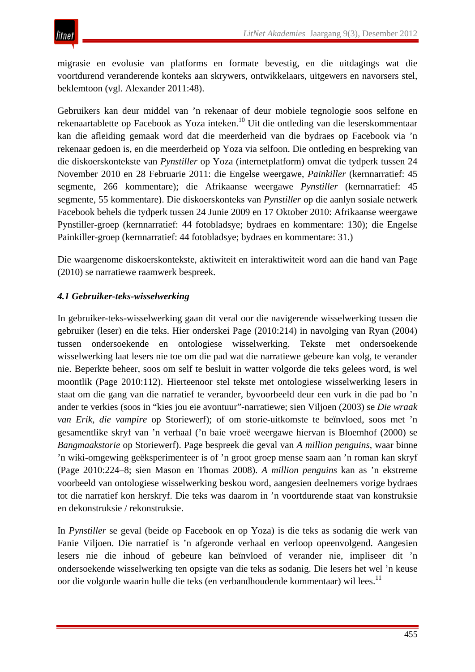migrasie en evolusie van platforms en formate bevestig, en die uitdagings wat die voortdurend veranderende konteks aan skrywers, ontwikkelaars, uitgewers en navorsers stel, beklemtoon (vgl. Alexander 2011:48).

Gebruikers kan deur middel van 'n rekenaar of deur mobiele tegnologie soos selfone en rekenaartablette op Facebook as Yoza inteken.10 Uit die ontleding van die leserskommentaar kan die afleiding gemaak word dat die meerderheid van die bydraes op Facebook via 'n rekenaar gedoen is, en die meerderheid op Yoza via selfoon. Die ontleding en bespreking van die diskoerskontekste van *Pynstiller* op Yoza (internetplatform) omvat die tydperk tussen 24 November 2010 en 28 Februarie 2011: die Engelse weergawe, *Painkiller* (kernnarratief: 45 segmente, 266 kommentare); die Afrikaanse weergawe *Pynstiller* (kernnarratief: 45 segmente, 55 kommentare). Die diskoerskonteks van *Pynstiller* op die aanlyn sosiale netwerk Facebook behels die tydperk tussen 24 Junie 2009 en 17 Oktober 2010: Afrikaanse weergawe Pynstiller-groep (kernnarratief: 44 fotobladsye; bydraes en kommentare: 130); die Engelse Painkiller-groep (kernnarratief: 44 fotobladsye; bydraes en kommentare: 31.)

Die waargenome diskoerskontekste, aktiwiteit en interaktiwiteit word aan die hand van Page (2010) se narratiewe raamwerk bespreek.

# *4.1 Gebruiker-teks-wisselwerking*

In gebruiker-teks-wisselwerking gaan dit veral oor die navigerende wisselwerking tussen die gebruiker (leser) en die teks. Hier onderskei Page (2010:214) in navolging van Ryan (2004) tussen ondersoekende en ontologiese wisselwerking. Tekste met ondersoekende wisselwerking laat lesers nie toe om die pad wat die narratiewe gebeure kan volg, te verander nie. Beperkte beheer, soos om self te besluit in watter volgorde die teks gelees word, is wel moontlik (Page 2010:112). Hierteenoor stel tekste met ontologiese wisselwerking lesers in staat om die gang van die narratief te verander, byvoorbeeld deur een vurk in die pad bo 'n ander te verkies (soos in "kies jou eie avontuur"-narratiewe; sien Viljoen (2003) se *Die wraak van Erik, die vampire* op Storiewerf); of om storie-uitkomste te beïnvloed, soos met 'n gesamentlike skryf van 'n verhaal ('n baie vroeë weergawe hiervan is Bloemhof (2000) se *Bangmaakstorie* op Storiewerf). Page bespreek die geval van *A million penguins*, waar binne 'n wiki-omgewing geëksperimenteer is of 'n groot groep mense saam aan 'n roman kan skryf (Page 2010:224*–*8; sien Mason en Thomas 2008). *A million penguins* kan as 'n ekstreme voorbeeld van ontologiese wisselwerking beskou word, aangesien deelnemers vorige bydraes tot die narratief kon herskryf. Die teks was daarom in 'n voortdurende staat van konstruksie en dekonstruksie / rekonstruksie.

In *Pynstiller* se geval (beide op Facebook en op Yoza) is die teks as sodanig die werk van Fanie Viljoen. Die narratief is 'n afgeronde verhaal en verloop opeenvolgend. Aangesien lesers nie die inhoud of gebeure kan beïnvloed of verander nie, impliseer dit 'n ondersoekende wisselwerking ten opsigte van die teks as sodanig. Die lesers het wel 'n keuse oor die volgorde waarin hulle die teks (en verbandhoudende kommentaar) wil lees.<sup>11</sup>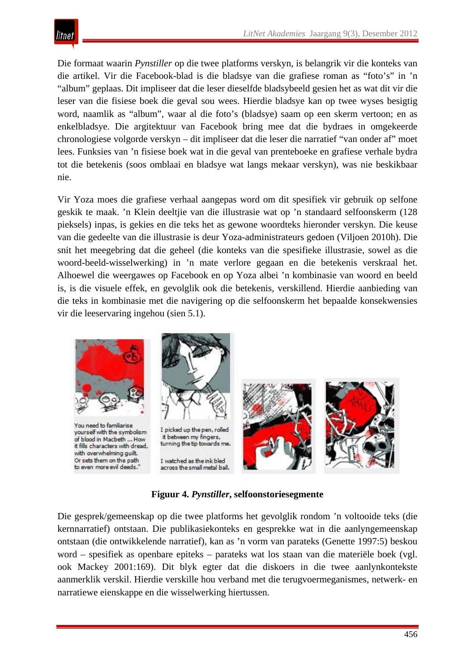Die formaat waarin *Pynstiller* op die twee platforms verskyn, is belangrik vir die konteks van die artikel. Vir die Facebook-blad is die bladsye van die grafiese roman as "foto's" in 'n "album" geplaas. Dit impliseer dat die leser dieselfde bladsybeeld gesien het as wat dit vir die leser van die fisiese boek die geval sou wees. Hierdie bladsye kan op twee wyses besigtig word, naamlik as "album", waar al die foto's (bladsye) saam op een skerm vertoon; en as enkelbladsye. Die argitektuur van Facebook bring mee dat die bydraes in omgekeerde chronologiese volgorde verskyn – dit impliseer dat die leser die narratief "van onder af" moet lees. Funksies van 'n fisiese boek wat in die geval van prenteboeke en grafiese verhale bydra tot die betekenis (soos omblaai en bladsye wat langs mekaar verskyn), was nie beskikbaar nie.

Vir Yoza moes die grafiese verhaal aangepas word om dit spesifiek vir gebruik op selfone geskik te maak. 'n Klein deeltjie van die illustrasie wat op 'n standaard selfoonskerm (128 pieksels) inpas, is gekies en die teks het as gewone woordteks hieronder verskyn. Die keuse van die gedeelte van die illustrasie is deur Yoza-administrateurs gedoen (Viljoen 2010h). Die snit het meegebring dat die geheel (die konteks van die spesifieke illustrasie, sowel as die woord-beeld-wisselwerking) in 'n mate verlore gegaan en die betekenis verskraal het. Alhoewel die weergawes op Facebook en op Yoza albei 'n kombinasie van woord en beeld is, is die visuele effek, en gevolglik ook die betekenis, verskillend. Hierdie aanbieding van die teks in kombinasie met die navigering op die selfoonskerm het bepaalde konsekwensies vir die leeservaring ingehou (sien 5.1).



**Figuur 4.** *Pynstiller***, selfoonstoriesegmente**

Die gesprek/gemeenskap op die twee platforms het gevolglik rondom 'n voltooide teks (die kernnarratief) ontstaan. Die publikasiekonteks en gesprekke wat in die aanlyngemeenskap ontstaan (die ontwikkelende narratief), kan as 'n vorm van parateks (Genette 1997:5) beskou word – spesifiek as openbare epiteks – parateks wat los staan van die materiële boek (vgl. ook Mackey 2001:169). Dit blyk egter dat die diskoers in die twee aanlynkontekste aanmerklik verskil. Hierdie verskille hou verband met die terugvoermeganismes, netwerk- en narratiewe eienskappe en die wisselwerking hiertussen.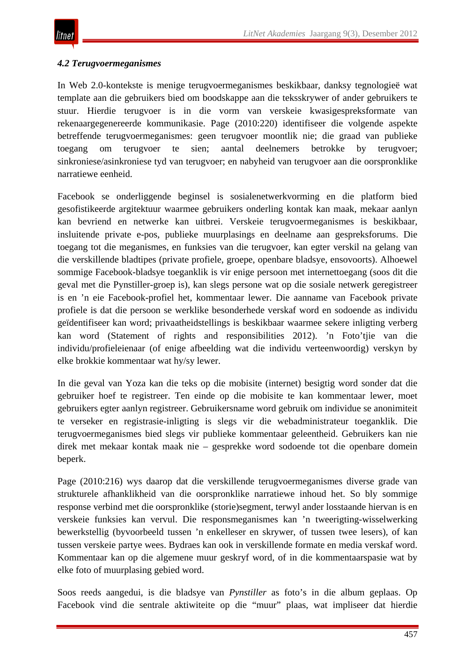## *4.2 Terugvoermeganismes*

In Web 2.0-kontekste is menige terugvoermeganismes beskikbaar, danksy tegnologieë wat template aan die gebruikers bied om boodskappe aan die teksskrywer of ander gebruikers te stuur. Hierdie terugvoer is in die vorm van verskeie kwasigespreksformate van rekenaargegenereerde kommunikasie. Page (2010:220) identifiseer die volgende aspekte betreffende terugvoermeganismes: geen terugvoer moontlik nie; die graad van publieke toegang om terugvoer te sien; aantal deelnemers betrokke by terugvoer; sinkroniese/asinkroniese tyd van terugvoer; en nabyheid van terugvoer aan die oorspronklike narratiewe eenheid.

Facebook se onderliggende beginsel is sosialenetwerkvorming en die platform bied gesofistikeerde argitektuur waarmee gebruikers onderling kontak kan maak, mekaar aanlyn kan bevriend en netwerke kan uitbrei. Verskeie terugvoermeganismes is beskikbaar, insluitende private e-pos, publieke muurplasings en deelname aan gespreksforums. Die toegang tot die meganismes, en funksies van die terugvoer, kan egter verskil na gelang van die verskillende bladtipes (private profiele, groepe, openbare bladsye, ensovoorts). Alhoewel sommige Facebook-bladsye toeganklik is vir enige persoon met internettoegang (soos dit die geval met die Pynstiller-groep is), kan slegs persone wat op die sosiale netwerk geregistreer is en 'n eie Facebook-profiel het, kommentaar lewer. Die aanname van Facebook private profiele is dat die persoon se werklike besonderhede verskaf word en sodoende as individu geïdentifiseer kan word; privaatheidstellings is beskikbaar waarmee sekere inligting verberg kan word (Statement of rights and responsibilities 2012). 'n Foto'tjie van die individu/profieleienaar (of enige afbeelding wat die individu verteenwoordig) verskyn by elke brokkie kommentaar wat hy/sy lewer.

In die geval van Yoza kan die teks op die mobisite (internet) besigtig word sonder dat die gebruiker hoef te registreer. Ten einde op die mobisite te kan kommentaar lewer, moet gebruikers egter aanlyn registreer. Gebruikersname word gebruik om individue se anonimiteit te verseker en registrasie-inligting is slegs vir die webadministrateur toeganklik. Die terugvoermeganismes bied slegs vir publieke kommentaar geleentheid. Gebruikers kan nie direk met mekaar kontak maak nie – gesprekke word sodoende tot die openbare domein beperk.

Page (2010:216) wys daarop dat die verskillende terugvoermeganismes diverse grade van strukturele afhanklikheid van die oorspronklike narratiewe inhoud het. So bly sommige response verbind met die oorspronklike (storie)segment, terwyl ander losstaande hiervan is en verskeie funksies kan vervul. Die responsmeganismes kan 'n tweerigting-wisselwerking bewerkstellig (byvoorbeeld tussen 'n enkelleser en skrywer, of tussen twee lesers), of kan tussen verskeie partye wees. Bydraes kan ook in verskillende formate en media verskaf word. Kommentaar kan op die algemene muur geskryf word, of in die kommentaarspasie wat by elke foto of muurplasing gebied word.

Soos reeds aangedui, is die bladsye van *Pynstiller* as foto's in die album geplaas. Op Facebook vind die sentrale aktiwiteite op die "muur" plaas, wat impliseer dat hierdie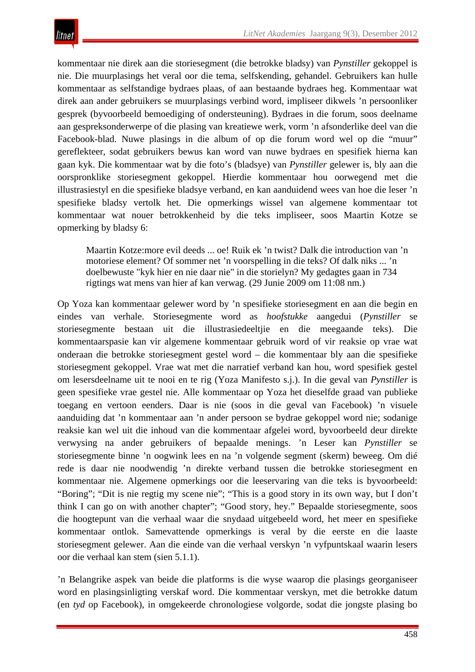kommentaar nie direk aan die storiesegment (die betrokke bladsy) van *Pynstiller* gekoppel is nie. Die muurplasings het veral oor die tema, selfskending, gehandel. Gebruikers kan hulle kommentaar as selfstandige bydraes plaas, of aan bestaande bydraes heg. Kommentaar wat direk aan ander gebruikers se muurplasings verbind word, impliseer dikwels 'n persoonliker gesprek (byvoorbeeld bemoediging of ondersteuning). Bydraes in die forum, soos deelname aan gespreksonderwerpe of die plasing van kreatiewe werk, vorm 'n afsonderlike deel van die Facebook-blad. Nuwe plasings in die album of op die forum word wel op die "muur" gereflekteer, sodat gebruikers bewus kan word van nuwe bydraes en spesifiek hierna kan gaan kyk. Die kommentaar wat by die foto's (bladsye) van *Pynstiller* gelewer is, bly aan die oorspronklike storiesegment gekoppel. Hierdie kommentaar hou oorwegend met die illustrasiestyl en die spesifieke bladsye verband, en kan aanduidend wees van hoe die leser 'n spesifieke bladsy vertolk het. Die opmerkings wissel van algemene kommentaar tot kommentaar wat nouer betrokkenheid by die teks impliseer, soos Maartin Kotze se opmerking by bladsy 6:

Maartin Kotze:more evil deeds ... oe! Ruik ek 'n twist? Dalk die introduction van 'n motoriese element? Of sommer net 'n voorspelling in die teks? Of dalk niks ... 'n doelbewuste "kyk hier en nie daar nie" in die storielyn? My gedagtes gaan in 734 rigtings wat mens van hier af kan verwag. (29 Junie 2009 om 11:08 nm.)

Op Yoza kan kommentaar gelewer word by 'n spesifieke storiesegment en aan die begin en eindes van verhale. Storiesegmente word as *hoofstukke* aangedui (*Pynstiller* se storiesegmente bestaan uit die illustrasiedeeltjie en die meegaande teks). Die kommentaarspasie kan vir algemene kommentaar gebruik word of vir reaksie op vrae wat onderaan die betrokke storiesegment gestel word – die kommentaar bly aan die spesifieke storiesegment gekoppel. Vrae wat met die narratief verband kan hou, word spesifiek gestel om lesersdeelname uit te nooi en te rig (Yoza Manifesto s.j.). In die geval van *Pynstiller* is geen spesifieke vrae gestel nie. Alle kommentaar op Yoza het dieselfde graad van publieke toegang en vertoon eenders. Daar is nie (soos in die geval van Facebook) 'n visuele aanduiding dat 'n kommentaar aan 'n ander persoon se bydrae gekoppel word nie; sodanige reaksie kan wel uit die inhoud van die kommentaar afgelei word, byvoorbeeld deur direkte verwysing na ander gebruikers of bepaalde menings. 'n Leser kan *Pynstiller* se storiesegmente binne 'n oogwink lees en na 'n volgende segment (skerm) beweeg. Om dié rede is daar nie noodwendig 'n direkte verband tussen die betrokke storiesegment en kommentaar nie. Algemene opmerkings oor die leeservaring van die teks is byvoorbeeld: "Boring"; "Dit is nie regtig my scene nie"; "This is a good story in its own way, but I don't think I can go on with another chapter"; "Good story, hey." Bepaalde storiesegmente, soos die hoogtepunt van die verhaal waar die snydaad uitgebeeld word, het meer en spesifieke kommentaar ontlok. Samevattende opmerkings is veral by die eerste en die laaste storiesegment gelewer. Aan die einde van die verhaal verskyn 'n vyfpuntskaal waarin lesers oor die verhaal kan stem (sien 5.1.1).

'n Belangrike aspek van beide die platforms is die wyse waarop die plasings georganiseer word en plasingsinligting verskaf word. Die kommentaar verskyn, met die betrokke datum (en *tyd* op Facebook), in omgekeerde chronologiese volgorde, sodat die jongste plasing bo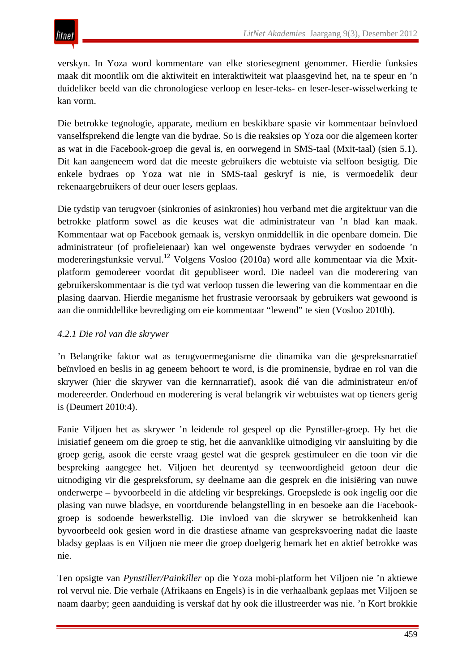verskyn. In Yoza word kommentare van elke storiesegment genommer. Hierdie funksies maak dit moontlik om die aktiwiteit en interaktiwiteit wat plaasgevind het, na te speur en 'n duideliker beeld van die chronologiese verloop en leser-teks- en leser-leser-wisselwerking te kan vorm.

Die betrokke tegnologie, apparate, medium en beskikbare spasie vir kommentaar beïnvloed vanselfsprekend die lengte van die bydrae. So is die reaksies op Yoza oor die algemeen korter as wat in die Facebook-groep die geval is, en oorwegend in SMS-taal (Mxit-taal) (sien 5.1). Dit kan aangeneem word dat die meeste gebruikers die webtuiste via selfoon besigtig. Die enkele bydraes op Yoza wat nie in SMS-taal geskryf is nie, is vermoedelik deur rekenaargebruikers of deur ouer lesers geplaas.

Die tydstip van terugvoer (sinkronies of asinkronies) hou verband met die argitektuur van die betrokke platform sowel as die keuses wat die administrateur van 'n blad kan maak. Kommentaar wat op Facebook gemaak is, verskyn onmiddellik in die openbare domein. Die administrateur (of profieleienaar) kan wel ongewenste bydraes verwyder en sodoende 'n modereringsfunksie vervul.<sup>12</sup> Volgens Vosloo (2010a) word alle kommentaar via die Mxitplatform gemodereer voordat dit gepubliseer word. Die nadeel van die moderering van gebruikerskommentaar is die tyd wat verloop tussen die lewering van die kommentaar en die plasing daarvan. Hierdie meganisme het frustrasie veroorsaak by gebruikers wat gewoond is aan die onmiddellike bevrediging om eie kommentaar "lewend" te sien (Vosloo 2010b).

# *4.2.1 Die rol van die skrywer*

'n Belangrike faktor wat as terugvoermeganisme die dinamika van die gespreksnarratief beïnvloed en beslis in ag geneem behoort te word, is die prominensie, bydrae en rol van die skrywer (hier die skrywer van die kernnarratief), asook dié van die administrateur en/of modereerder. Onderhoud en moderering is veral belangrik vir webtuistes wat op tieners gerig is (Deumert 2010:4).

Fanie Viljoen het as skrywer 'n leidende rol gespeel op die Pynstiller-groep. Hy het die inisiatief geneem om die groep te stig, het die aanvanklike uitnodiging vir aansluiting by die groep gerig, asook die eerste vraag gestel wat die gesprek gestimuleer en die toon vir die bespreking aangegee het. Viljoen het deurentyd sy teenwoordigheid getoon deur die uitnodiging vir die gespreksforum, sy deelname aan die gesprek en die inisiëring van nuwe onderwerpe – byvoorbeeld in die afdeling vir besprekings. Groepslede is ook ingelig oor die plasing van nuwe bladsye, en voortdurende belangstelling in en besoeke aan die Facebookgroep is sodoende bewerkstellig. Die invloed van die skrywer se betrokkenheid kan byvoorbeeld ook gesien word in die drastiese afname van gespreksvoering nadat die laaste bladsy geplaas is en Viljoen nie meer die groep doelgerig bemark het en aktief betrokke was nie.

Ten opsigte van *Pynstiller/Painkiller* op die Yoza mobi-platform het Viljoen nie 'n aktiewe rol vervul nie. Die verhale (Afrikaans en Engels) is in die verhaalbank geplaas met Viljoen se naam daarby; geen aanduiding is verskaf dat hy ook die illustreerder was nie. 'n Kort brokkie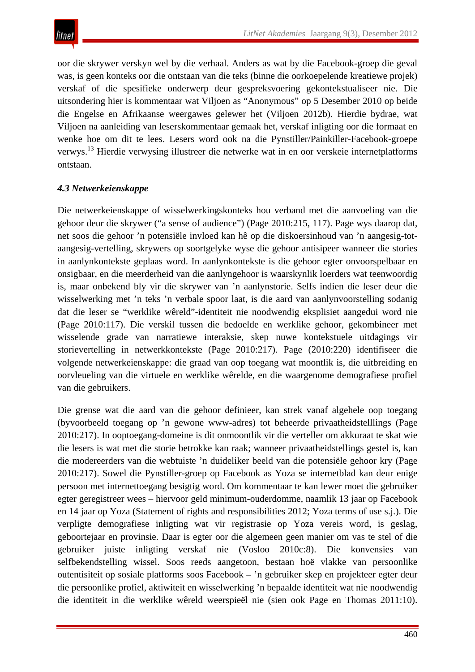oor die skrywer verskyn wel by die verhaal. Anders as wat by die Facebook-groep die geval was, is geen konteks oor die ontstaan van die teks (binne die oorkoepelende kreatiewe projek) verskaf of die spesifieke onderwerp deur gespreksvoering gekontekstualiseer nie. Die uitsondering hier is kommentaar wat Viljoen as "Anonymous" op 5 Desember 2010 op beide die Engelse en Afrikaanse weergawes gelewer het (Viljoen 2012b). Hierdie bydrae, wat Viljoen na aanleiding van leserskommentaar gemaak het, verskaf inligting oor die formaat en wenke hoe om dit te lees. Lesers word ook na die Pynstiller/Painkiller-Facebook-groepe verwys.13 Hierdie verwysing illustreer die netwerke wat in en oor verskeie internetplatforms ontstaan.

## *4.3 Netwerkeienskappe*

Die netwerkeienskappe of wisselwerkingskonteks hou verband met die aanvoeling van die gehoor deur die skrywer ("a sense of audience") (Page 2010:215, 117). Page wys daarop dat, net soos die gehoor 'n potensiële invloed kan hê op die diskoersinhoud van 'n aangesig-totaangesig-vertelling, skrywers op soortgelyke wyse die gehoor antisipeer wanneer die stories in aanlynkontekste geplaas word. In aanlynkontekste is die gehoor egter onvoorspelbaar en onsigbaar, en die meerderheid van die aanlyngehoor is waarskynlik loerders wat teenwoordig is, maar onbekend bly vir die skrywer van 'n aanlynstorie. Selfs indien die leser deur die wisselwerking met 'n teks 'n verbale spoor laat, is die aard van aanlynvoorstelling sodanig dat die leser se "werklike wêreld"-identiteit nie noodwendig eksplisiet aangedui word nie (Page 2010:117). Die verskil tussen die bedoelde en werklike gehoor, gekombineer met wisselende grade van narratiewe interaksie, skep nuwe kontekstuele uitdagings vir storievertelling in netwerkkontekste (Page 2010:217). Page (2010:220) identifiseer die volgende netwerkeienskappe: die graad van oop toegang wat moontlik is, die uitbreiding en oorvleueling van die virtuele en werklike wêrelde, en die waargenome demografiese profiel van die gebruikers.

Die grense wat die aard van die gehoor definieer, kan strek vanaf algehele oop toegang (byvoorbeeld toegang op 'n gewone www-adres) tot beheerde privaatheidstelllings (Page 2010:217). In ooptoegang-domeine is dit onmoontlik vir die verteller om akkuraat te skat wie die lesers is wat met die storie betrokke kan raak; wanneer privaatheidstellings gestel is, kan die modereerders van die webtuiste 'n duideliker beeld van die potensiële gehoor kry (Page 2010:217). Sowel die Pynstiller-groep op Facebook as Yoza se internetblad kan deur enige persoon met internettoegang besigtig word. Om kommentaar te kan lewer moet die gebruiker egter geregistreer wees – hiervoor geld minimum-ouderdomme, naamlik 13 jaar op Facebook en 14 jaar op Yoza (Statement of rights and responsibilities 2012; Yoza terms of use s.j.). Die verpligte demografiese inligting wat vir registrasie op Yoza vereis word, is geslag, geboortejaar en provinsie. Daar is egter oor die algemeen geen manier om vas te stel of die gebruiker juiste inligting verskaf nie (Vosloo 2010c:8). Die konvensies van selfbekendstelling wissel. Soos reeds aangetoon, bestaan hoë vlakke van persoonlike outentisiteit op sosiale platforms soos Facebook – 'n gebruiker skep en projekteer egter deur die persoonlike profiel, aktiwiteit en wisselwerking 'n bepaalde identiteit wat nie noodwendig die identiteit in die werklike wêreld weerspieël nie (sien ook Page en Thomas 2011:10).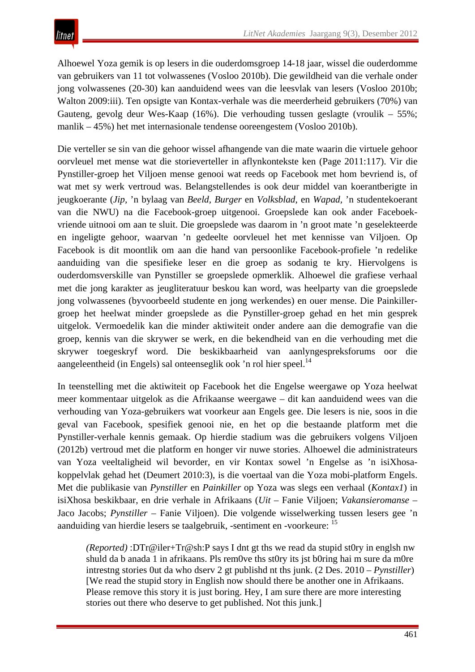Alhoewel Yoza gemik is op lesers in die ouderdomsgroep 14-18 jaar, wissel die ouderdomme van gebruikers van 11 tot volwassenes (Vosloo 2010b). Die gewildheid van die verhale onder jong volwassenes (20-30) kan aanduidend wees van die leesvlak van lesers (Vosloo 2010b; Walton 2009:iii). Ten opsigte van Kontax-verhale was die meerderheid gebruikers (70%) van Gauteng, gevolg deur Wes-Kaap (16%). Die verhouding tussen geslagte (vroulik – 55%; manlik – 45%) het met internasionale tendense ooreengestem (Vosloo 2010b).

Die verteller se sin van die gehoor wissel afhangende van die mate waarin die virtuele gehoor oorvleuel met mense wat die storieverteller in aflynkontekste ken (Page 2011:117). Vir die Pynstiller-groep het Viljoen mense genooi wat reeds op Facebook met hom bevriend is, of wat met sy werk vertroud was. Belangstellendes is ook deur middel van koerantberigte in jeugkoerante (*Jip,* 'n bylaag van *Beeld, Burger* en *Volksblad*, en *Wapad,* 'n studentekoerant van die NWU) na die Facebook-groep uitgenooi. Groepslede kan ook ander Faceboekvriende uitnooi om aan te sluit. Die groepslede was daarom in 'n groot mate 'n geselekteerde en ingeligte gehoor, waarvan 'n gedeelte oorvleuel het met kennisse van Viljoen. Op Facebook is dit moontlik om aan die hand van persoonlike Facebook-profiele 'n redelike aanduiding van die spesifieke leser en die groep as sodanig te kry. Hiervolgens is ouderdomsverskille van Pynstiller se groepslede opmerklik. Alhoewel die grafiese verhaal met die jong karakter as jeugliteratuur beskou kan word, was heelparty van die groepslede jong volwassenes (byvoorbeeld studente en jong werkendes) en ouer mense. Die Painkillergroep het heelwat minder groepslede as die Pynstiller-groep gehad en het min gesprek uitgelok. Vermoedelik kan die minder aktiwiteit onder andere aan die demografie van die groep, kennis van die skrywer se werk, en die bekendheid van en die verhouding met die skrywer toegeskryf word. Die beskikbaarheid van aanlyngespreksforums oor die aangeleentheid (in Engels) sal onteenseglik ook 'n rol hier speel.<sup>14</sup>

In teenstelling met die aktiwiteit op Facebook het die Engelse weergawe op Yoza heelwat meer kommentaar uitgelok as die Afrikaanse weergawe – dit kan aanduidend wees van die verhouding van Yoza-gebruikers wat voorkeur aan Engels gee. Die lesers is nie, soos in die geval van Facebook, spesifiek genooi nie, en het op die bestaande platform met die Pynstiller-verhale kennis gemaak. Op hierdie stadium was die gebruikers volgens Viljoen (2012b) vertroud met die platform en honger vir nuwe stories. Alhoewel die administrateurs van Yoza veeltaligheid wil bevorder, en vir Kontax sowel 'n Engelse as 'n isiXhosakoppelvlak gehad het (Deumert 2010:3), is die voertaal van die Yoza mobi-platform Engels. Met die publikasie van *Pynstiller* en *Painkiller* op Yoza was slegs een verhaal (*Kontax1*) in isiXhosa beskikbaar, en drie verhale in Afrikaans (*Uit* – Fanie Viljoen; *Vakansieromanse* – Jaco Jacobs; *Pynstiller* – Fanie Viljoen). Die volgende wisselwerking tussen lesers gee 'n aanduiding van hierdie lesers se taalgebruik, -sentiment en -voorkeure: <sup>15</sup>

*(Reported)* :DTr@iler+Tr@sh:P says I dnt gt ths we read da stupid st0ry in englsh nw shuld da b anada 1 in afrikaans. Pls rem0ve ths st0ry its jst b0ring hai m sure da m0re intrestng stories 0ut da who dserv 2 gt publishd nt ths junk. (2 Des. 2010 – *Pynstiller*) [We read the stupid story in English now should there be another one in Afrikaans. Please remove this story it is just boring. Hey, I am sure there are more interesting stories out there who deserve to get published. Not this junk.]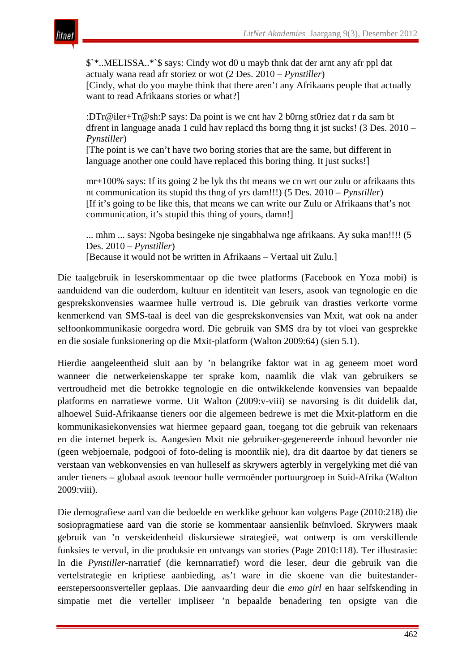

\$`\*..MELISSA..\*`\$ says: Cindy wot d0 u mayb thnk dat der arnt any afr ppl dat actualy wana read afr storiez or wot (2 Des. 2010 – *Pynstiller*) [Cindy, what do you maybe think that there aren't any Afrikaans people that actually want to read Afrikaans stories or what?]

:DTr@iler+Tr@sh:P says: Da point is we cnt hav 2 b0rng st0riez dat r da sam bt dfrent in language anada 1 culd hav replacd ths borng thng it jst sucks! (3 Des. 2010 – *Pynstiller*)

[The point is we can't have two boring stories that are the same, but different in language another one could have replaced this boring thing. It just sucks!]

mr+100% says: If its going 2 be lyk ths tht means we cn wrt our zulu or afrikaans thts nt communication its stupid ths thng of yrs dam!!!) (5 Des. 2010 – *Pynstiller*) [If it's going to be like this, that means we can write our Zulu or Afrikaans that's not communication, it's stupid this thing of yours, damn!]

... mhm ... says: Ngoba besingeke nje singabhalwa nge afrikaans. Ay suka man!!!! (5 Des. 2010 – *Pynstiller*) [Because it would not be written in Afrikaans – Vertaal uit Zulu.]

Die taalgebruik in leserskommentaar op die twee platforms (Facebook en Yoza mobi) is aanduidend van die ouderdom, kultuur en identiteit van lesers, asook van tegnologie en die gesprekskonvensies waarmee hulle vertroud is. Die gebruik van drasties verkorte vorme kenmerkend van SMS-taal is deel van die gesprekskonvensies van Mxit, wat ook na ander selfoonkommunikasie oorgedra word. Die gebruik van SMS dra by tot vloei van gesprekke en die sosiale funksionering op die Mxit-platform (Walton 2009:64) (sien 5.1).

Hierdie aangeleentheid sluit aan by 'n belangrike faktor wat in ag geneem moet word wanneer die netwerkeienskappe ter sprake kom, naamlik die vlak van gebruikers se vertroudheid met die betrokke tegnologie en die ontwikkelende konvensies van bepaalde platforms en narratiewe vorme. Uit Walton (2009:v-viii) se navorsing is dit duidelik dat, alhoewel Suid-Afrikaanse tieners oor die algemeen bedrewe is met die Mxit-platform en die kommunikasiekonvensies wat hiermee gepaard gaan, toegang tot die gebruik van rekenaars en die internet beperk is. Aangesien Mxit nie gebruiker-gegenereerde inhoud bevorder nie (geen webjoernale, podgooi of foto-deling is moontlik nie), dra dit daartoe by dat tieners se verstaan van webkonvensies en van hulleself as skrywers agterbly in vergelyking met dié van ander tieners – globaal asook teenoor hulle vermoënder portuurgroep in Suid-Afrika (Walton 2009:viii).

Die demografiese aard van die bedoelde en werklike gehoor kan volgens Page (2010:218) die sosiopragmatiese aard van die storie se kommentaar aansienlik beïnvloed. Skrywers maak gebruik van 'n verskeidenheid diskursiewe strategieë, wat ontwerp is om verskillende funksies te vervul, in die produksie en ontvangs van stories (Page 2010:118). Ter illustrasie: In die *Pynstiller*-narratief (die kernnarratief) word die leser, deur die gebruik van die vertelstrategie en kriptiese aanbieding, as't ware in die skoene van die buitestandereerstepersoonsverteller geplaas. Die aanvaarding deur die *emo girl* en haar selfskending in simpatie met die verteller impliseer 'n bepaalde benadering ten opsigte van die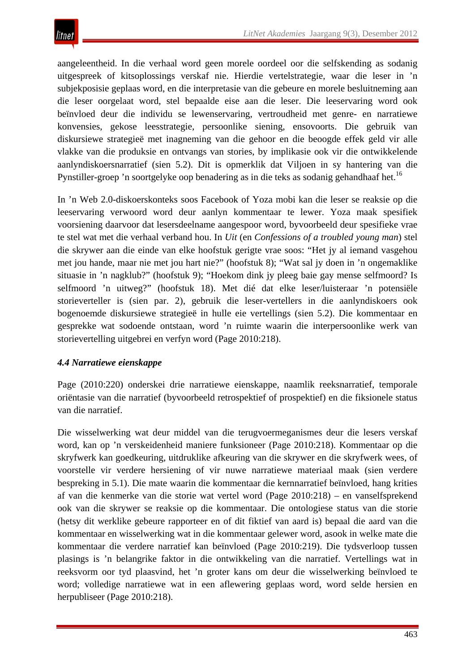aangeleentheid. In die verhaal word geen morele oordeel oor die selfskending as sodanig uitgespreek of kitsoplossings verskaf nie. Hierdie vertelstrategie, waar die leser in 'n subjekposisie geplaas word, en die interpretasie van die gebeure en morele besluitneming aan die leser oorgelaat word, stel bepaalde eise aan die leser. Die leeservaring word ook beïnvloed deur die individu se lewenservaring, vertroudheid met genre- en narratiewe konvensies, gekose leesstrategie, persoonlike siening, ensovoorts. Die gebruik van diskursiewe strategieë met inagneming van die gehoor en die beoogde effek geld vir alle vlakke van die produksie en ontvangs van stories, by implikasie ook vir die ontwikkelende aanlyndiskoersnarratief (sien 5.2). Dit is opmerklik dat Viljoen in sy hantering van die Pynstiller-groep 'n soortgelyke oop benadering as in die teks as sodanig gehandhaaf het.<sup>16</sup>

In 'n Web 2.0-diskoerskonteks soos Facebook of Yoza mobi kan die leser se reaksie op die leeservaring verwoord word deur aanlyn kommentaar te lewer. Yoza maak spesifiek voorsiening daarvoor dat lesersdeelname aangespoor word, byvoorbeeld deur spesifieke vrae te stel wat met die verhaal verband hou. In *Uit* (en *Confessions of a troubled young man*) stel die skrywer aan die einde van elke hoofstuk gerigte vrae soos: "Het jy al iemand vasgehou met jou hande, maar nie met jou hart nie?" (hoofstuk 8); "Wat sal jy doen in 'n ongemaklike situasie in 'n nagklub?" (hoofstuk 9); "Hoekom dink jy pleeg baie gay mense selfmoord? Is selfmoord 'n uitweg?" (hoofstuk 18). Met dié dat elke leser/luisteraar 'n potensiële storieverteller is (sien par. 2), gebruik die leser-vertellers in die aanlyndiskoers ook bogenoemde diskursiewe strategieë in hulle eie vertellings (sien 5.2). Die kommentaar en gesprekke wat sodoende ontstaan, word 'n ruimte waarin die interpersoonlike werk van storievertelling uitgebrei en verfyn word (Page 2010:218).

# *4.4 Narratiewe eienskappe*

Page (2010:220) onderskei drie narratiewe eienskappe, naamlik reeksnarratief, temporale oriëntasie van die narratief (byvoorbeeld retrospektief of prospektief) en die fiksionele status van die narratief.

Die wisselwerking wat deur middel van die terugvoermeganismes deur die lesers verskaf word, kan op 'n verskeidenheid maniere funksioneer (Page 2010:218). Kommentaar op die skryfwerk kan goedkeuring, uitdruklike afkeuring van die skrywer en die skryfwerk wees, of voorstelle vir verdere hersiening of vir nuwe narratiewe materiaal maak (sien verdere bespreking in 5.1). Die mate waarin die kommentaar die kernnarratief beïnvloed, hang krities af van die kenmerke van die storie wat vertel word (Page 2010:218) – en vanselfsprekend ook van die skrywer se reaksie op die kommentaar. Die ontologiese status van die storie (hetsy dit werklike gebeure rapporteer en of dit fiktief van aard is) bepaal die aard van die kommentaar en wisselwerking wat in die kommentaar gelewer word, asook in welke mate die kommentaar die verdere narratief kan beïnvloed (Page 2010:219). Die tydsverloop tussen plasings is 'n belangrike faktor in die ontwikkeling van die narratief. Vertellings wat in reeksvorm oor tyd plaasvind, het 'n groter kans om deur die wisselwerking beïnvloed te word; volledige narratiewe wat in een aflewering geplaas word, word selde hersien en herpubliseer (Page 2010:218).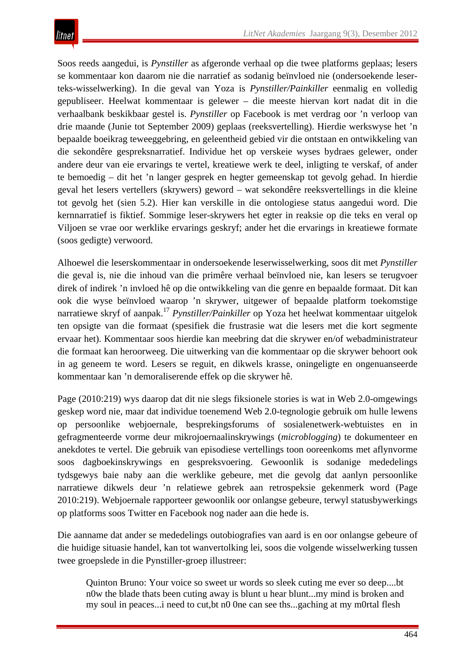Soos reeds aangedui, is *Pynstiller* as afgeronde verhaal op die twee platforms geplaas; lesers se kommentaar kon daarom nie die narratief as sodanig beïnvloed nie (ondersoekende leserteks-wisselwerking). In die geval van Yoza is *Pynstiller/Painkiller* eenmalig en volledig gepubliseer. Heelwat kommentaar is gelewer – die meeste hiervan kort nadat dit in die verhaalbank beskikbaar gestel is. *Pynstiller* op Facebook is met verdrag oor 'n verloop van drie maande (Junie tot September 2009) geplaas (reeksvertelling). Hierdie werkswyse het 'n bepaalde boeikrag teweeggebring, en geleentheid gebied vir die ontstaan en ontwikkeling van die sekondêre gespreksnarratief. Individue het op verskeie wyses bydraes gelewer, onder andere deur van eie ervarings te vertel, kreatiewe werk te deel, inligting te verskaf, of ander te bemoedig – dit het 'n langer gesprek en hegter gemeenskap tot gevolg gehad. In hierdie geval het lesers vertellers (skrywers) geword – wat sekondêre reeksvertellings in die kleine tot gevolg het (sien 5.2). Hier kan verskille in die ontologiese status aangedui word. Die kernnarratief is fiktief. Sommige leser-skrywers het egter in reaksie op die teks en veral op Viljoen se vrae oor werklike ervarings geskryf; ander het die ervarings in kreatiewe formate (soos gedigte) verwoord.

Alhoewel die leserskommentaar in ondersoekende leserwisselwerking, soos dit met *Pynstiller* die geval is, nie die inhoud van die primêre verhaal beïnvloed nie, kan lesers se terugvoer direk of indirek 'n invloed hê op die ontwikkeling van die genre en bepaalde formaat. Dit kan ook die wyse beïnvloed waarop 'n skrywer, uitgewer of bepaalde platform toekomstige narratiewe skryf of aanpak.17 *Pynstiller/Painkiller* op Yoza het heelwat kommentaar uitgelok ten opsigte van die formaat (spesifiek die frustrasie wat die lesers met die kort segmente ervaar het). Kommentaar soos hierdie kan meebring dat die skrywer en/of webadministrateur die formaat kan heroorweeg. Die uitwerking van die kommentaar op die skrywer behoort ook in ag geneem te word. Lesers se reguit, en dikwels krasse, oningeligte en ongenuanseerde kommentaar kan 'n demoraliserende effek op die skrywer hê.

Page (2010:219) wys daarop dat dit nie slegs fiksionele stories is wat in Web 2.0-omgewings geskep word nie, maar dat individue toenemend Web 2.0-tegnologie gebruik om hulle lewens op persoonlike webjoernale, besprekingsforums of sosialenetwerk-webtuistes en in gefragmenteerde vorme deur mikrojoernaalinskrywings (*microblogging*) te dokumenteer en anekdotes te vertel. Die gebruik van episodiese vertellings toon ooreenkoms met aflynvorme soos dagboekinskrywings en gespreksvoering. Gewoonlik is sodanige mededelings tydsgewys baie naby aan die werklike gebeure, met die gevolg dat aanlyn persoonlike narratiewe dikwels deur 'n relatiewe gebrek aan retrospeksie gekenmerk word (Page 2010:219). Webjoernale rapporteer gewoonlik oor onlangse gebeure, terwyl statusbywerkings op platforms soos Twitter en Facebook nog nader aan die hede is.

Die aanname dat ander se mededelings outobiografies van aard is en oor onlangse gebeure of die huidige situasie handel, kan tot wanvertolking lei, soos die volgende wisselwerking tussen twee groepslede in die Pynstiller-groep illustreer:

Quinton Bruno: Your voice so sweet ur words so sleek cuting me ever so deep....bt n0w the blade thats been cuting away is blunt u hear blunt...my mind is broken and my soul in peaces...i need to cut,bt n0 0ne can see ths...gaching at my m0rtal flesh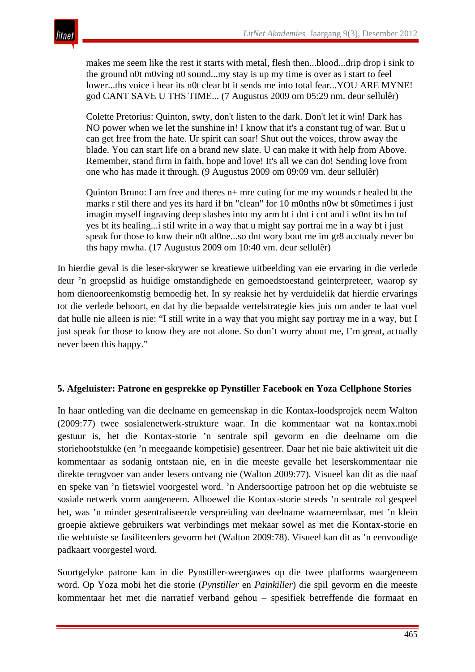makes me seem like the rest it starts with metal, flesh then...blood...drip drop i sink to the ground n0t m0ving n0 sound...my stay is up my time is over as i start to feel lower...ths voice i hear its n0t clear bt it sends me into total fear...YOU ARE MYNE! god CANT SAVE U THS TIME... (7 Augustus 2009 om 05:29 nm. deur sellulêr)

Colette Pretorius: Quinton, swty, don't listen to the dark. Don't let it win! Dark has NO power when we let the sunshine in! I know that it's a constant tug of war. But u can get free from the hate. Ur spirit can soar! Shut out the voices, throw away the blade. You can start life on a brand new slate. U can make it with help from Above. Remember, stand firm in faith, hope and love! It's all we can do! Sending love from one who has made it through. (9 Augustus 2009 om 09:09 vm. deur sellulêr)

Quinton Bruno: I am free and theres n+ mre cuting for me my wounds r healed bt the marks r stil there and yes its hard if bn "clean" for 10 m0nths n0w bt s0metimes i just imagin myself ingraving deep slashes into my arm bt i dnt i cnt and i w0nt its bn tuf yes bt its healing...i stil write in a way that u might say portrai me in a way bt i just speak for those to knw their n0t al0ne...so dnt wory bout me im gr8 acctualy never bn ths hapy mwha. (17 Augustus 2009 om 10:40 vm. deur sellulêr)

In hierdie geval is die leser-skrywer se kreatiewe uitbeelding van eie ervaring in die verlede deur 'n groepslid as huidige omstandighede en gemoedstoestand geïnterpreteer, waarop sy hom dienooreenkomstig bemoedig het. In sy reaksie het hy verduidelik dat hierdie ervarings tot die verlede behoort, en dat hy die bepaalde vertelstrategie kies juis om ander te laat voel dat hulle nie alleen is nie: "I still write in a way that you might say portray me in a way, but I just speak for those to know they are not alone. So don't worry about me, I'm great, actually never been this happy."

#### **5. Afgeluister: Patrone en gesprekke op Pynstiller Facebook en Yoza Cellphone Stories**

In haar ontleding van die deelname en gemeenskap in die Kontax-loodsprojek neem Walton (2009:77) twee sosialenetwerk-strukture waar. In die kommentaar wat na kontax.mobi gestuur is, het die Kontax-storie 'n sentrale spil gevorm en die deelname om die storiehoofstukke (en 'n meegaande kompetisie) gesentreer. Daar het nie baie aktiwiteit uit die kommentaar as sodanig ontstaan nie, en in die meeste gevalle het leserskommentaar nie direkte terugvoer van ander lesers ontvang nie (Walton 2009:77). Visueel kan dit as die naaf en speke van 'n fietswiel voorgestel word. 'n Andersoortige patroon het op die webtuiste se sosiale netwerk vorm aangeneem. Alhoewel die Kontax-storie steeds 'n sentrale rol gespeel het, was 'n minder gesentraliseerde verspreiding van deelname waarneembaar, met 'n klein groepie aktiewe gebruikers wat verbindings met mekaar sowel as met die Kontax-storie en die webtuiste se fasiliteerders gevorm het (Walton 2009:78). Visueel kan dit as 'n eenvoudige padkaart voorgestel word.

Soortgelyke patrone kan in die Pynstiller-weergawes op die twee platforms waargeneem word. Op Yoza mobi het die storie (*Pynstiller* en *Painkiller*) die spil gevorm en die meeste kommentaar het met die narratief verband gehou – spesifiek betreffende die formaat en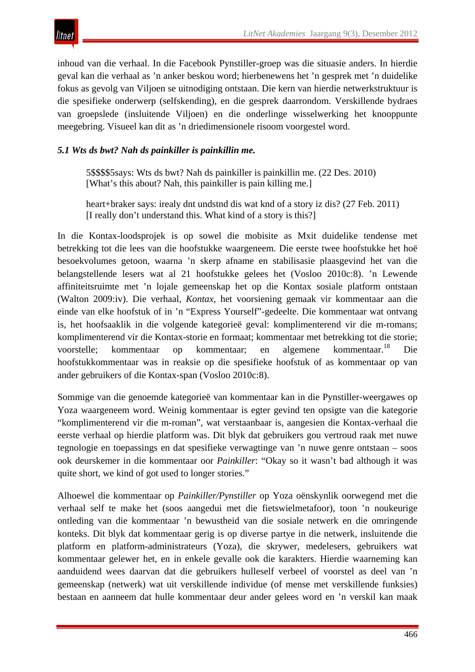

inhoud van die verhaal. In die Facebook Pynstiller-groep was die situasie anders. In hierdie geval kan die verhaal as 'n anker beskou word; hierbenewens het 'n gesprek met 'n duidelike fokus as gevolg van Viljoen se uitnodiging ontstaan. Die kern van hierdie netwerkstruktuur is die spesifieke onderwerp (selfskending), en die gesprek daarrondom. Verskillende bydraes van groepslede (insluitende Viljoen) en die onderlinge wisselwerking het knooppunte meegebring. Visueel kan dit as 'n driedimensionele risoom voorgestel word.

# *5.1 Wts ds bwt? Nah ds painkiller is painkillin me.*

5\$\$\$\$5says: Wts ds bwt? Nah ds painkiller is painkillin me. (22 Des. 2010) [What's this about? Nah, this painkiller is pain killing me.]

heart+braker says: irealy dnt undstnd dis wat knd of a story iz dis? (27 Feb. 2011) [I really don't understand this. What kind of a story is this?]

In die Kontax-loodsprojek is op sowel die mobisite as Mxit duidelike tendense met betrekking tot die lees van die hoofstukke waargeneem. Die eerste twee hoofstukke het hoë besoekvolumes getoon, waarna 'n skerp afname en stabilisasie plaasgevind het van die belangstellende lesers wat al 21 hoofstukke gelees het (Vosloo 2010c:8). 'n Lewende affiniteitsruimte met 'n lojale gemeenskap het op die Kontax sosiale platform ontstaan (Walton 2009:iv). Die verhaal, *Kontax*, het voorsiening gemaak vir kommentaar aan die einde van elke hoofstuk of in 'n "Express Yourself"-gedeelte. Die kommentaar wat ontvang is, het hoofsaaklik in die volgende kategorieë geval: komplimenterend vir die m-romans; komplimenterend vir die Kontax-storie en formaat; kommentaar met betrekking tot die storie; voorstelle; kommentaar op kommentaar; en algemene kommentaar.18 Die hoofstukkommentaar was in reaksie op die spesifieke hoofstuk of as kommentaar op van ander gebruikers of die Kontax-span (Vosloo 2010c:8).

Sommige van die genoemde kategorieë van kommentaar kan in die Pynstiller-weergawes op Yoza waargeneem word. Weinig kommentaar is egter gevind ten opsigte van die kategorie "komplimenterend vir die m-roman", wat verstaanbaar is, aangesien die Kontax-verhaal die eerste verhaal op hierdie platform was. Dit blyk dat gebruikers gou vertroud raak met nuwe tegnologie en toepassings en dat spesifieke verwagtinge van 'n nuwe genre ontstaan – soos ook deurskemer in die kommentaar oor *Painkiller*: "Okay so it wasn't bad although it was quite short, we kind of got used to longer stories."

Alhoewel die kommentaar op *Painkiller/Pynstiller* op Yoza oënskynlik oorwegend met die verhaal self te make het (soos aangedui met die fietswielmetafoor), toon 'n noukeurige ontleding van die kommentaar 'n bewustheid van die sosiale netwerk en die omringende konteks. Dit blyk dat kommentaar gerig is op diverse partye in die netwerk, insluitende die platform en platform-administrateurs (Yoza), die skrywer, medelesers, gebruikers wat kommentaar gelewer het, en in enkele gevalle ook die karakters. Hierdie waarneming kan aanduidend wees daarvan dat die gebruikers hulleself verbeel of voorstel as deel van 'n gemeenskap (netwerk) wat uit verskillende individue (of mense met verskillende funksies) bestaan en aanneem dat hulle kommentaar deur ander gelees word en 'n verskil kan maak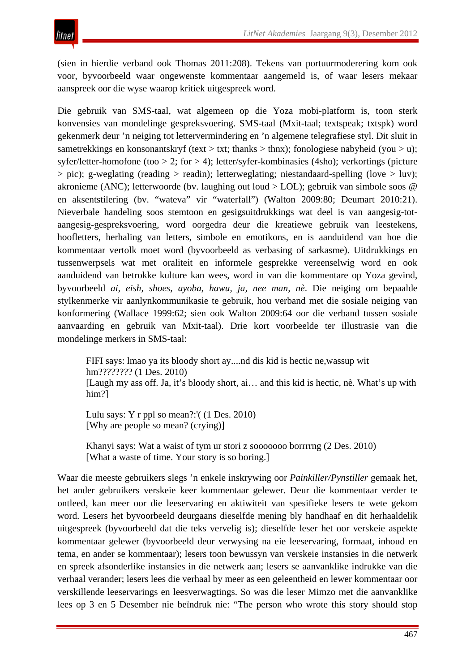(sien in hierdie verband ook Thomas 2011:208). Tekens van portuurmoderering kom ook voor, byvoorbeeld waar ongewenste kommentaar aangemeld is, of waar lesers mekaar aanspreek oor die wyse waarop kritiek uitgespreek word.

Die gebruik van SMS-taal, wat algemeen op die Yoza mobi-platform is, toon sterk konvensies van mondelinge gespreksvoering. SMS-taal (Mxit-taal; textspeak; txtspk) word gekenmerk deur 'n neiging tot lettervermindering en 'n algemene telegrafiese styl. Dit sluit in sametrekkings en konsonantskryf (text > txt; thanks > thnx); fonologiese nabyheid (you > u); syfer/letter-homofone (too > 2; for > 4); letter/syfer-kombinasies (4sho); verkortings (picture  $>$  pic); g-weglating (reading  $>$  readin); letterweglating; niestandaard-spelling (love  $>$  luv); akronieme (ANC); letterwoorde (bv. laughing out loud > LOL); gebruik van simbole soos @ en aksentstilering (bv. "wateva" vir "waterfall") (Walton 2009:80; Deumart 2010:21). Nieverbale handeling soos stemtoon en gesigsuitdrukkings wat deel is van aangesig-totaangesig-gespreksvoering, word oorgedra deur die kreatiewe gebruik van leestekens, hoofletters, herhaling van letters, simbole en emotikons, en is aanduidend van hoe die kommentaar vertolk moet word (byvoorbeeld as verbasing of sarkasme). Uitdrukkings en tussenwerpsels wat met oraliteit en informele gesprekke vereenselwig word en ook aanduidend van betrokke kulture kan wees, word in van die kommentare op Yoza gevind, byvoorbeeld *ai, eish, shoes, ayoba, hawu, ja, nee man, nè*. Die neiging om bepaalde stylkenmerke vir aanlynkommunikasie te gebruik, hou verband met die sosiale neiging van konformering (Wallace 1999:62; sien ook Walton 2009:64 oor die verband tussen sosiale aanvaarding en gebruik van Mxit-taal). Drie kort voorbeelde ter illustrasie van die mondelinge merkers in SMS-taal:

FIFI says: lmao ya its bloody short ay....nd dis kid is hectic ne,wassup wit hm???????? (1 Des. 2010) [Laugh my ass off. Ja, it's bloody short, ai… and this kid is hectic, nè. What's up with him?]

Lulu says: Y r ppl so mean?:'( (1 Des. 2010) [Why are people so mean? (crying)]

Khanyi says: Wat a waist of tym ur stori z sooooooo borrrrng (2 Des. 2010) [What a waste of time. Your story is so boring.]

Waar die meeste gebruikers slegs 'n enkele inskrywing oor *Painkiller/Pynstiller* gemaak het, het ander gebruikers verskeie keer kommentaar gelewer. Deur die kommentaar verder te ontleed, kan meer oor die leeservaring en aktiwiteit van spesifieke lesers te wete gekom word. Lesers het byvoorbeeld deurgaans dieselfde mening bly handhaaf en dit herhaaldelik uitgespreek (byvoorbeeld dat die teks vervelig is); dieselfde leser het oor verskeie aspekte kommentaar gelewer (byvoorbeeld deur verwysing na eie leeservaring, formaat, inhoud en tema, en ander se kommentaar); lesers toon bewussyn van verskeie instansies in die netwerk en spreek afsonderlike instansies in die netwerk aan; lesers se aanvanklike indrukke van die verhaal verander; lesers lees die verhaal by meer as een geleentheid en lewer kommentaar oor verskillende leeservarings en leesverwagtings. So was die leser Mimzo met die aanvanklike lees op 3 en 5 Desember nie beïndruk nie: "The person who wrote this story should stop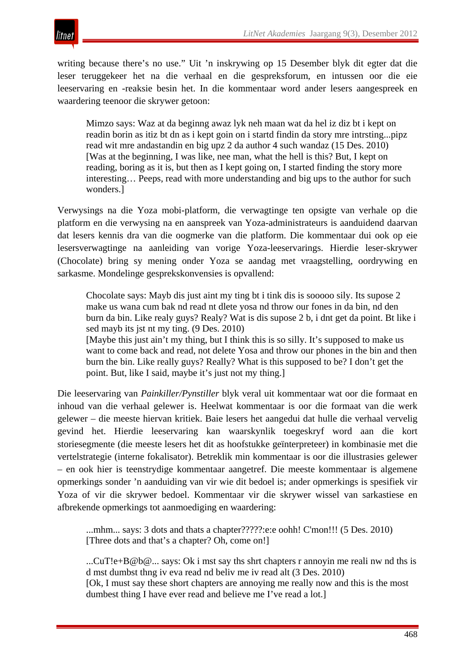

writing because there's no use." Uit 'n inskrywing op 15 Desember blyk dit egter dat die leser teruggekeer het na die verhaal en die gespreksforum, en intussen oor die eie leeservaring en -reaksie besin het. In die kommentaar word ander lesers aangespreek en waardering teenoor die skrywer getoon:

Mimzo says: Waz at da beginng awaz lyk neh maan wat da hel iz diz bt i kept on readin borin as itiz bt dn as i kept goin on i startd findin da story mre intrsting...pipz read wit mre andastandin en big upz 2 da author 4 such wandaz (15 Des. 2010) [Was at the beginning, I was like, nee man, what the hell is this? But, I kept on reading, boring as it is, but then as I kept going on, I started finding the story more interesting… Peeps, read with more understanding and big ups to the author for such wonders.]

Verwysings na die Yoza mobi-platform, die verwagtinge ten opsigte van verhale op die platform en die verwysing na en aanspreek van Yoza-administrateurs is aanduidend daarvan dat lesers kennis dra van die oogmerke van die platform. Die kommentaar dui ook op eie lesersverwagtinge na aanleiding van vorige Yoza-leeservarings. Hierdie leser-skrywer (Chocolate) bring sy mening onder Yoza se aandag met vraagstelling, oordrywing en sarkasme. Mondelinge gesprekskonvensies is opvallend:

Chocolate says: Mayb dis just aint my ting bt i tink dis is sooooo sily. Its supose 2 make us wana cum bak nd read nt dlete yosa nd throw our fones in da bin, nd den burn da bin. Like realy guys? Realy? Wat is dis supose 2 b, i dnt get da point. Bt like i sed mayb its jst nt my ting. (9 Des. 2010) [Maybe this just ain't my thing, but I think this is so silly. It's supposed to make us want to come back and read, not delete Yosa and throw our phones in the bin and then burn the bin. Like really guys? Really? What is this supposed to be? I don't get the point. But, like I said, maybe it's just not my thing.]

Die leeservaring van *Painkiller/Pynstiller* blyk veral uit kommentaar wat oor die formaat en inhoud van die verhaal gelewer is. Heelwat kommentaar is oor die formaat van die werk gelewer – die meeste hiervan kritiek. Baie lesers het aangedui dat hulle die verhaal vervelig gevind het. Hierdie leeservaring kan waarskynlik toegeskryf word aan die kort storiesegmente (die meeste lesers het dit as hoofstukke geïnterpreteer) in kombinasie met die vertelstrategie (interne fokalisator). Betreklik min kommentaar is oor die illustrasies gelewer – en ook hier is teenstrydige kommentaar aangetref. Die meeste kommentaar is algemene opmerkings sonder 'n aanduiding van vir wie dit bedoel is; ander opmerkings is spesifiek vir Yoza of vir die skrywer bedoel. Kommentaar vir die skrywer wissel van sarkastiese en afbrekende opmerkings tot aanmoediging en waardering:

...mhm... says: 3 dots and thats a chapter?????:e:e oohh! C'mon!!! (5 Des. 2010) [Three dots and that's a chapter? Oh, come on!]

...CuT!e+B@b@... says: Ok i mst say ths shrt chapters r annoyin me reali nw nd ths is d mst dumbst thng iv eva read nd beliv me iv read alt (3 Des. 2010) [Ok, I must say these short chapters are annoying me really now and this is the most dumbest thing I have ever read and believe me I've read a lot.]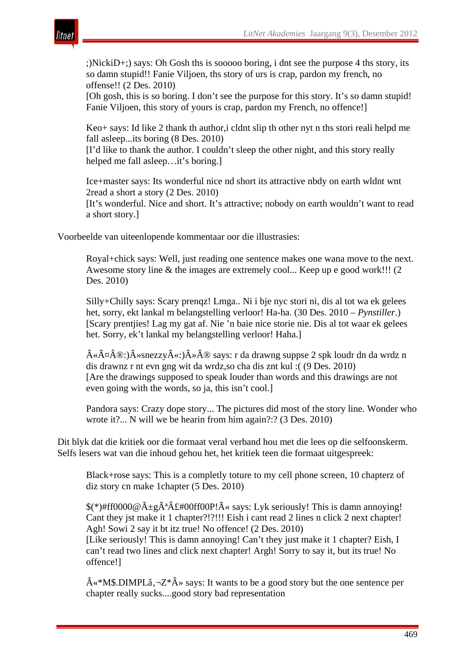

;)NickiD+;) says: Oh Gosh ths is sooooo boring, i dnt see the purpose 4 ths story, its so damn stupid!! Fanie Viljoen, ths story of urs is crap, pardon my french, no offense!! (2 Des. 2010)

[Oh gosh, this is so boring. I don't see the purpose for this story. It's so damn stupid! Fanie Viljoen, this story of yours is crap, pardon my French, no offence!]

Keo+ says: Id like 2 thank th author,i cldnt slip th other nyt n ths stori reali helpd me fall asleep...its boring (8 Des. 2010)

[I'd like to thank the author. I couldn't sleep the other night, and this story really helped me fall asleep…it's boring.]

Ice+master says: Its wonderful nice nd short its attractive nbdy on earth wldnt wnt 2read a short a story (2 Des. 2010)

[It's wonderful. Nice and short. It's attractive; nobody on earth wouldn't want to read a short story.]

Voorbeelde van uiteenlopende kommentaar oor die illustrasies:

Royal+chick says: Well, just reading one sentence makes one wana move to the next. Awesome story line & the images are extremely cool... Keep up e good work!!! (2 Des. 2010)

Silly+Chilly says: Scary prenqz! Lmga.. Ni i bje nyc stori ni, dis al tot wa ek gelees het, sorry, ekt lankal m belangstelling verloor! Ha-ha. (30 Des. 2010 – *Pynstiller*.) [Scary prentjies! Lag my gat af. Nie 'n baie nice storie nie. Dis al tot waar ek gelees het. Sorry, ek't lankal my belangstelling verloor! Haha.]

 $\hat{A} \propto \hat{A} \propto \hat{A} \otimes : \hat{A} \sim \hat{B} \propto : \hat{A} \propto \hat{A} \otimes \hat{B}$  says: r da drawng suppse 2 spk loudr dn da wrdz n dis drawnz r nt evn gng wit da wrdz,so cha dis znt kul :( (9 Des. 2010) [Are the drawings supposed to speak louder than words and this drawings are not even going with the words, so ja, this isn't cool.]

Pandora says: Crazy dope story... The pictures did most of the story line. Wonder who wrote it?... N will we be hearin from him again?:? (3 Des. 2010)

Dit blyk dat die kritiek oor die formaat veral verband hou met die lees op die selfoonskerm. Selfs lesers wat van die inhoud gehou het, het kritiek teen die formaat uitgespreek:

Black+rose says: This is a completly toture to my cell phone screen, 10 chapterz of diz story cn make 1chapter (5 Des. 2010)

 $$(*)#ff0000@A+gA^aA£#00ff00P!\tilde{A} \times says: Lyk seriously! This is damn annoying!$ Cant they jst make it 1 chapter?!?!!! Eish i cant read 2 lines n click 2 next chapter! Agh! Sowi 2 say it bt itz true! No offence! (2 Des. 2010)

[Like seriously! This is damn annoying! Can't they just make it 1 chapter? Eish, I can't read two lines and click next chapter! Argh! Sorry to say it, but its true! No offence!]

 $\hat{A} \ll M\$ .DIMPL $\hat{a}$ , $\neg Z^* \hat{A}$  says: It wants to be a good story but the one sentence per chapter really sucks....good story bad representation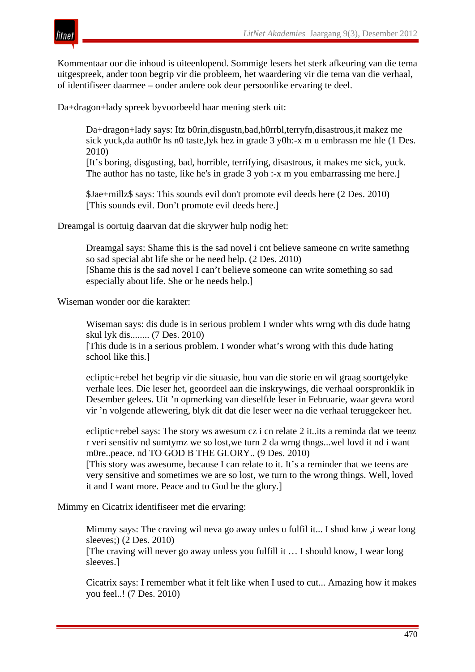

Kommentaar oor die inhoud is uiteenlopend. Sommige lesers het sterk afkeuring van die tema uitgespreek, ander toon begrip vir die probleem, het waardering vir die tema van die verhaal, of identifiseer daarmee – onder andere ook deur persoonlike ervaring te deel.

Da+dragon+lady spreek byvoorbeeld haar mening sterk uit:

Da+dragon+lady says: Itz b0rin,disgustn,bad,h0rrbl,terryfn,disastrous,it makez me sick yuck,da auth0r hs n0 taste,lyk hez in grade 3 y0h:-x m u embrassn me hle (1 Des. 2010)

[It's boring, disgusting, bad, horrible, terrifying, disastrous, it makes me sick, yuck. The author has no taste, like he's in grade 3 yoh :-x m you embarrassing me here.]

\$Jae+millz\$ says: This sounds evil don't promote evil deeds here (2 Des. 2010) [This sounds evil. Don't promote evil deeds here.]

Dreamgal is oortuig daarvan dat die skrywer hulp nodig het:

Dreamgal says: Shame this is the sad novel i cnt believe sameone cn write samethng so sad special abt life she or he need help. (2 Des. 2010) [Shame this is the sad novel I can't believe someone can write something so sad especially about life. She or he needs help.]

Wiseman wonder oor die karakter:

Wiseman says: dis dude is in serious problem I wnder whts wrng wth dis dude hatng skul lyk dis........ (7 Des. 2010) [This dude is in a serious problem. I wonder what's wrong with this dude hating school like this.]

ecliptic+rebel het begrip vir die situasie, hou van die storie en wil graag soortgelyke verhale lees. Die leser het, geoordeel aan die inskrywings, die verhaal oorspronklik in Desember gelees. Uit 'n opmerking van dieselfde leser in Februarie, waar gevra word vir 'n volgende aflewering, blyk dit dat die leser weer na die verhaal teruggekeer het.

ecliptic+rebel says: The story ws awesum cz i cn relate 2 it..its a reminda dat we teenz r veri sensitiv nd sumtymz we so lost,we turn 2 da wrng thngs...wel lovd it nd i want m0re..peace. nd TO GOD B THE GLORY.. (9 Des. 2010)

[This story was awesome, because I can relate to it. It's a reminder that we teens are very sensitive and sometimes we are so lost, we turn to the wrong things. Well, loved it and I want more. Peace and to God be the glory.]

Mimmy en Cicatrix identifiseer met die ervaring:

Mimmy says: The craving wil neva go away unles u fulfil it... I shud knw ,i wear long sleeves;) (2 Des. 2010) [The craving will never go away unless you fulfill it … I should know, I wear long

sleeves.]

Cicatrix says: I remember what it felt like when I used to cut... Amazing how it makes you feel..! (7 Des. 2010)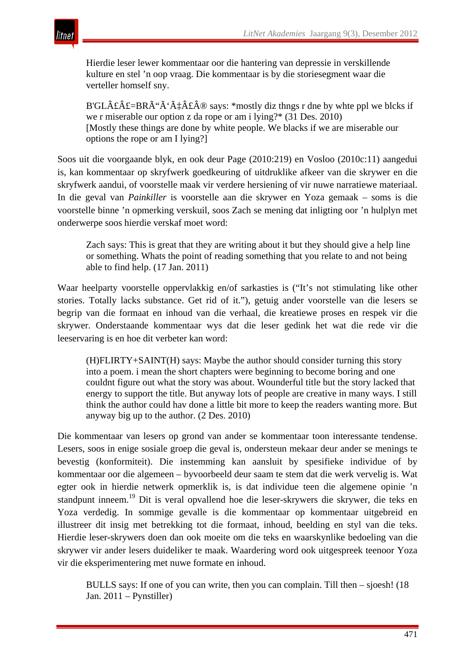

Hierdie leser lewer kommentaar oor die hantering van depressie in verskillende kulture en stel 'n oop vraag. Die kommentaar is by die storiesegment waar die verteller homself sny.

B'GL£ $\hat{A}$ £=BRÓ $\tilde{A}$ ' $\tilde{A}$  $\hat{A}$  $\hat{A}$  $\hat{B}$  $\hat{B}$  says: \*mostly diz thngs r dne by whte ppl we blcks if we r miserable our option z da rope or am i lying?\* (31 Des. 2010) [Mostly these things are done by white people. We blacks if we are miserable our options the rope or am I lying?]

Soos uit die voorgaande blyk, en ook deur Page (2010:219) en Vosloo (2010c:11) aangedui is, kan kommentaar op skryfwerk goedkeuring of uitdruklike afkeer van die skrywer en die skryfwerk aandui, of voorstelle maak vir verdere hersiening of vir nuwe narratiewe materiaal. In die geval van *Painkiller* is voorstelle aan die skrywer en Yoza gemaak – soms is die voorstelle binne 'n opmerking verskuil, soos Zach se mening dat inligting oor 'n hulplyn met onderwerpe soos hierdie verskaf moet word:

Zach says: This is great that they are writing about it but they should give a help line or something. Whats the point of reading something that you relate to and not being able to find help. (17 Jan. 2011)

Waar heelparty voorstelle oppervlakkig en/of sarkasties is ("It's not stimulating like other stories. Totally lacks substance. Get rid of it."), getuig ander voorstelle van die lesers se begrip van die formaat en inhoud van die verhaal, die kreatiewe proses en respek vir die skrywer. Onderstaande kommentaar wys dat die leser gedink het wat die rede vir die leeservaring is en hoe dit verbeter kan word:

(H)FLIRTY+SAINT(H) says: Maybe the author should consider turning this story into a poem. i mean the short chapters were beginning to become boring and one couldnt figure out what the story was about. Wounderful title but the story lacked that energy to support the title. But anyway lots of people are creative in many ways. I still think the author could hav done a little bit more to keep the readers wanting more. But anyway big up to the author. (2 Des. 2010)

Die kommentaar van lesers op grond van ander se kommentaar toon interessante tendense. Lesers, soos in enige sosiale groep die geval is, ondersteun mekaar deur ander se menings te bevestig (konformiteit). Die instemming kan aansluit by spesifieke individue of by kommentaar oor die algemeen – byvoorbeeld deur saam te stem dat die werk vervelig is. Wat egter ook in hierdie netwerk opmerklik is, is dat individue teen die algemene opinie 'n standpunt inneem.19 Dit is veral opvallend hoe die leser-skrywers die skrywer, die teks en Yoza verdedig. In sommige gevalle is die kommentaar op kommentaar uitgebreid en illustreer dit insig met betrekking tot die formaat, inhoud, beelding en styl van die teks. Hierdie leser-skrywers doen dan ook moeite om die teks en waarskynlike bedoeling van die skrywer vir ander lesers duideliker te maak. Waardering word ook uitgespreek teenoor Yoza vir die eksperimentering met nuwe formate en inhoud.

BULLS says: If one of you can write, then you can complain. Till then – sjoesh! (18 Jan. 2011 – Pynstiller)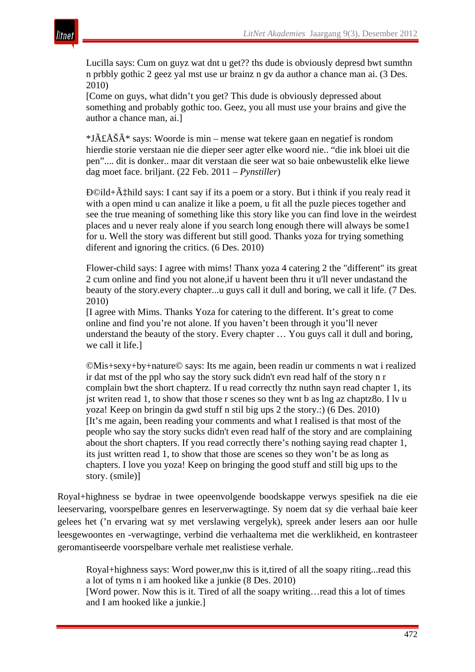

Lucilla says: Cum on guyz wat dnt u get?? ths dude is obviously depresd bwt sumthn n prbbly gothic 2 geez yal mst use ur brainz n gv da author a chance man ai. (3 Des. 2010)

[Come on guys, what didn't you get? This dude is obviously depressed about something and probably gothic too. Geez, you all must use your brains and give the author a chance man, ai.]

 $*J\tilde{A}\hat{E}\tilde{A}\tilde{S}\tilde{A}^*$  says: Woorde is min – mense wat tekere gaan en negatief is rondom hierdie storie verstaan nie die dieper seer agter elke woord nie.. "die ink bloei uit die pen".... dit is donker.. maar dit verstaan die seer wat so baie onbewustelik elke liewe dag moet face. briljant. (22 Feb. 2011 – *Pynstiller*)

 $DQild+A\ddagger Hild$  says: I cant say if its a poem or a story. But i think if you realy read it with a open mind u can analize it like a poem, u fit all the puzle pieces together and see the true meaning of something like this story like you can find love in the weirdest places and u never realy alone if you search long enough there will always be some1 for u. Well the story was different but still good. Thanks yoza for trying something diferent and ignoring the critics. (6 Des. 2010)

Flower-child says: I agree with mims! Thanx yoza 4 catering 2 the "different" its great 2 cum online and find you not alone,if u havent been thru it u'll never undastand the beauty of the story.every chapter...u guys call it dull and boring, we call it life. (7 Des. 2010)

[I agree with Mims. Thanks Yoza for catering to the different. It's great to come online and find you're not alone. If you haven't been through it you'll never understand the beauty of the story. Every chapter … You guys call it dull and boring, we call it life.]

©Mis+sexy+by+nature© says: Its me again, been readin ur comments n wat i realized ir dat mst of the ppl who say the story suck didn't evn read half of the story n r complain bwt the short chapterz. If u read correctly thz nuthn sayn read chapter 1, its jst writen read 1, to show that those r scenes so they wnt b as lng az chaptz8o. I lv u yoza! Keep on bringin da gwd stuff n stil big ups 2 the story.:) (6 Des. 2010) [It's me again, been reading your comments and what I realised is that most of the people who say the story sucks didn't even read half of the story and are complaining about the short chapters. If you read correctly there's nothing saying read chapter 1, its just written read 1, to show that those are scenes so they won't be as long as chapters. I love you yoza! Keep on bringing the good stuff and still big ups to the story. (smile)]

Royal+highness se bydrae in twee opeenvolgende boodskappe verwys spesifiek na die eie leeservaring, voorspelbare genres en leserverwagtinge. Sy noem dat sy die verhaal baie keer gelees het ('n ervaring wat sy met verslawing vergelyk), spreek ander lesers aan oor hulle leesgewoontes en -verwagtinge, verbind die verhaaltema met die werklikheid, en kontrasteer geromantiseerde voorspelbare verhale met realistiese verhale.

Royal+highness says: Word power,nw this is it,tired of all the soapy riting...read this a lot of tyms n i am hooked like a junkie (8 Des. 2010) [Word power. Now this is it. Tired of all the soapy writing…read this a lot of times

and I am hooked like a junkie.]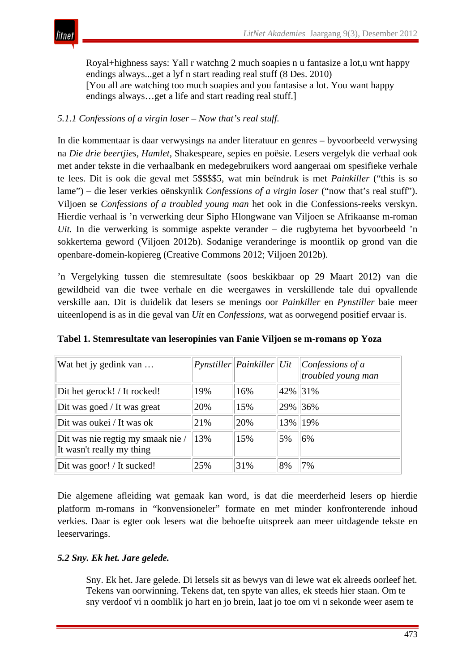Royal+highness says: Yall r watchng 2 much soapies n u fantasize a lot,u wnt happy endings always...get a lyf n start reading real stuff (8 Des. 2010) [You all are watching too much soapies and you fantasise a lot. You want happy endings always…get a life and start reading real stuff.]

## *5.1.1 Confessions of a virgin loser – Now that's real stuff.*

In die kommentaar is daar verwysings na ander literatuur en genres – byvoorbeeld verwysing na *Die drie beertjies*, *Hamlet*, Shakespeare, sepies en poësie. Lesers vergelyk die verhaal ook met ander tekste in die verhaalbank en medegebruikers word aangeraai om spesifieke verhale te lees. Dit is ook die geval met 5\$\$\$\$5, wat min beïndruk is met *Painkiller* ("this is so lame") – die leser verkies oënskynlik *Confessions of a virgin loser* ("now that's real stuff"). Viljoen se *Confessions of a troubled young man* het ook in die Confessions-reeks verskyn. Hierdie verhaal is 'n verwerking deur Sipho Hlongwane van Viljoen se Afrikaanse m-roman *Uit.* In die verwerking is sommige aspekte verander – die rugbytema het byvoorbeeld 'n sokkertema geword (Viljoen 2012b). Sodanige veranderinge is moontlik op grond van die openbare-domein-kopiereg (Creative Commons 2012; Viljoen 2012b).

'n Vergelyking tussen die stemresultate (soos beskikbaar op 29 Maart 2012) van die gewildheid van die twee verhale en die weergawes in verskillende tale dui opvallende verskille aan. Dit is duidelik dat lesers se menings oor *Painkiller* en *Pynstiller* baie meer uiteenlopend is as in die geval van *Uit* en *Confessions*, wat as oorwegend positief ervaar is.

| Wat het jy gedink van                                          |     | $Pynstiller$  Painkiller Uit |     | Confessions of a<br>troubled young man |
|----------------------------------------------------------------|-----|------------------------------|-----|----------------------------------------|
| Dit het gerock! / It rocked!                                   | 19% | 16%                          |     | 42% 31%                                |
| Dit was goed / It was great                                    | 20% | 15%                          | 29% | 36%                                    |
| Dit was oukei / It was ok                                      | 21% | 20%                          | 13% | 19%                                    |
| Dit was nie regtig my smaak nie /<br>It wasn't really my thing | 13% | 15%                          | 5%  | 6%                                     |
| Dit was goor! / It sucked!                                     | 25% | 31%                          | 8%  | 7%                                     |

**Tabel 1. Stemresultate van leseropinies van Fanie Viljoen se m-romans op Yoza** 

Die algemene afleiding wat gemaak kan word, is dat die meerderheid lesers op hierdie platform m-romans in "konvensioneler" formate en met minder konfronterende inhoud verkies. Daar is egter ook lesers wat die behoefte uitspreek aan meer uitdagende tekste en leeservarings.

#### *5.2 Sny. Ek het. Jare gelede.*

Sny. Ek het. Jare gelede. Di letsels sit as bewys van di lewe wat ek alreeds oorleef het. Tekens van oorwinning. Tekens dat, ten spyte van alles, ek steeds hier staan. Om te sny verdoof vi n oomblik jo hart en jo brein, laat jo toe om vi n sekonde weer asem te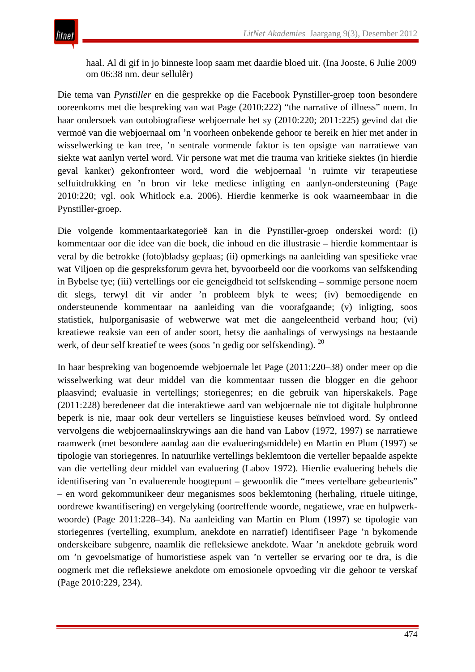haal. Al di gif in jo binneste loop saam met daardie bloed uit. (Ina Jooste, 6 Julie 2009 om 06:38 nm. deur sellulêr)

Die tema van *Pynstiller* en die gesprekke op die Facebook Pynstiller-groep toon besondere ooreenkoms met die bespreking van wat Page (2010:222) "the narrative of illness" noem. In haar ondersoek van outobiografiese webjoernale het sy (2010:220; 2011:225) gevind dat die vermoë van die webjoernaal om 'n voorheen onbekende gehoor te bereik en hier met ander in wisselwerking te kan tree, 'n sentrale vormende faktor is ten opsigte van narratiewe van siekte wat aanlyn vertel word. Vir persone wat met die trauma van kritieke siektes (in hierdie geval kanker) gekonfronteer word, word die webjoernaal 'n ruimte vir terapeutiese selfuitdrukking en 'n bron vir leke mediese inligting en aanlyn-ondersteuning (Page 2010:220; vgl. ook Whitlock e.a. 2006). Hierdie kenmerke is ook waarneembaar in die Pynstiller-groep.

Die volgende kommentaarkategorieë kan in die Pynstiller-groep onderskei word: (i) kommentaar oor die idee van die boek, die inhoud en die illustrasie – hierdie kommentaar is veral by die betrokke (foto)bladsy geplaas; (ii) opmerkings na aanleiding van spesifieke vrae wat Viljoen op die gespreksforum gevra het, byvoorbeeld oor die voorkoms van selfskending in Bybelse tye; (iii) vertellings oor eie geneigdheid tot selfskending – sommige persone noem dit slegs, terwyl dit vir ander 'n probleem blyk te wees; (iv) bemoedigende en ondersteunende kommentaar na aanleiding van die voorafgaande; (v) inligting, soos statistiek, hulporganisasie of webwerwe wat met die aangeleentheid verband hou; (vi) kreatiewe reaksie van een of ander soort, hetsy die aanhalings of verwysings na bestaande werk, of deur self kreatief te wees (soos 'n gedig oor selfskending). <sup>20</sup>

In haar bespreking van bogenoemde webjoernale let Page (2011:220*–*38) onder meer op die wisselwerking wat deur middel van die kommentaar tussen die blogger en die gehoor plaasvind; evaluasie in vertellings; storiegenres; en die gebruik van hiperskakels. Page (2011:228) beredeneer dat die interaktiewe aard van webjoernale nie tot digitale hulpbronne beperk is nie, maar ook deur vertellers se linguistiese keuses beïnvloed word. Sy ontleed vervolgens die webjoernaalinskrywings aan die hand van Labov (1972, 1997) se narratiewe raamwerk (met besondere aandag aan die evalueringsmiddele) en Martin en Plum (1997) se tipologie van storiegenres. In natuurlike vertellings beklemtoon die verteller bepaalde aspekte van die vertelling deur middel van evaluering (Labov 1972). Hierdie evaluering behels die identifisering van 'n evaluerende hoogtepunt – gewoonlik die "mees vertelbare gebeurtenis" – en word gekommunikeer deur meganismes soos beklemtoning (herhaling, rituele uitinge, oordrewe kwantifisering) en vergelyking (oortreffende woorde, negatiewe, vrae en hulpwerkwoorde) (Page 2011:228*–*34). Na aanleiding van Martin en Plum (1997) se tipologie van storiegenres (vertelling, exumplum, anekdote en narratief) identifiseer Page 'n bykomende onderskeibare subgenre, naamlik die refleksiewe anekdote. Waar 'n anekdote gebruik word om 'n gevoelsmatige of humoristiese aspek van 'n verteller se ervaring oor te dra, is die oogmerk met die refleksiewe anekdote om emosionele opvoeding vir die gehoor te verskaf (Page 2010:229, 234).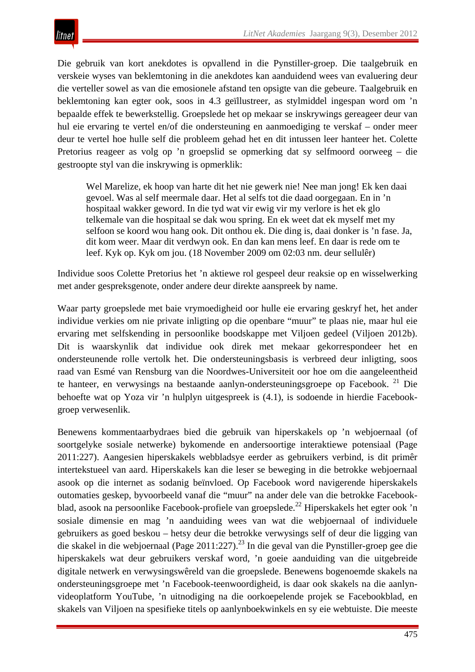Die gebruik van kort anekdotes is opvallend in die Pynstiller-groep. Die taalgebruik en verskeie wyses van beklemtoning in die anekdotes kan aanduidend wees van evaluering deur die verteller sowel as van die emosionele afstand ten opsigte van die gebeure. Taalgebruik en beklemtoning kan egter ook, soos in 4.3 geïllustreer, as stylmiddel ingespan word om 'n bepaalde effek te bewerkstellig. Groepslede het op mekaar se inskrywings gereageer deur van hul eie ervaring te vertel en/of die ondersteuning en aanmoediging te verskaf – onder meer deur te vertel hoe hulle self die probleem gehad het en dit intussen leer hanteer het. Colette Pretorius reageer as volg op 'n groepslid se opmerking dat sy selfmoord oorweeg – die gestroopte styl van die inskrywing is opmerklik:

Wel Marelize, ek hoop van harte dit het nie gewerk nie! Nee man jong! Ek ken daai gevoel. Was al self meermale daar. Het al selfs tot die daad oorgegaan. En in 'n hospitaal wakker geword. In die tyd wat vir ewig vir my verlore is het ek glo telkemale van die hospitaal se dak wou spring. En ek weet dat ek myself met my selfoon se koord wou hang ook. Dit onthou ek. Die ding is, daai donker is 'n fase. Ja, dit kom weer. Maar dit verdwyn ook. En dan kan mens leef. En daar is rede om te leef. Kyk op. Kyk om jou. (18 November 2009 om 02:03 nm. deur sellulêr)

Individue soos Colette Pretorius het 'n aktiewe rol gespeel deur reaksie op en wisselwerking met ander gespreksgenote, onder andere deur direkte aanspreek by name.

Waar party groepslede met baie vrymoedigheid oor hulle eie ervaring geskryf het, het ander individue verkies om nie private inligting op die openbare "muur" te plaas nie, maar hul eie ervaring met selfskending in persoonlike boodskappe met Viljoen gedeel (Viljoen 2012b). Dit is waarskynlik dat individue ook direk met mekaar gekorrespondeer het en ondersteunende rolle vertolk het. Die ondersteuningsbasis is verbreed deur inligting, soos raad van Esmé van Rensburg van die Noordwes-Universiteit oor hoe om die aangeleentheid te hanteer, en verwysings na bestaande aanlyn-ondersteuningsgroepe op Facebook. <sup>21</sup> Die behoefte wat op Yoza vir 'n hulplyn uitgespreek is (4.1), is sodoende in hierdie Facebookgroep verwesenlik.

Benewens kommentaarbydraes bied die gebruik van hiperskakels op 'n webjoernaal (of soortgelyke sosiale netwerke) bykomende en andersoortige interaktiewe potensiaal (Page 2011:227). Aangesien hiperskakels webbladsye eerder as gebruikers verbind, is dit primêr intertekstueel van aard. Hiperskakels kan die leser se beweging in die betrokke webjoernaal asook op die internet as sodanig beïnvloed. Op Facebook word navigerende hiperskakels outomaties geskep, byvoorbeeld vanaf die "muur" na ander dele van die betrokke Facebookblad, asook na persoonlike Facebook-profiele van groepslede.<sup>22</sup> Hiperskakels het egter ook 'n sosiale dimensie en mag 'n aanduiding wees van wat die webjoernaal of individuele gebruikers as goed beskou – hetsy deur die betrokke verwysings self of deur die ligging van die skakel in die webjoernaal (Page 2011:227).<sup>23</sup> In die geval van die Pynstiller-groep gee die hiperskakels wat deur gebruikers verskaf word, 'n goeie aanduiding van die uitgebreide digitale netwerk en verwysingswêreld van die groepslede. Benewens bogenoemde skakels na ondersteuningsgroepe met 'n Facebook-teenwoordigheid, is daar ook skakels na die aanlynvideoplatform YouTube, 'n uitnodiging na die oorkoepelende projek se Facebookblad, en skakels van Viljoen na spesifieke titels op aanlynboekwinkels en sy eie webtuiste. Die meeste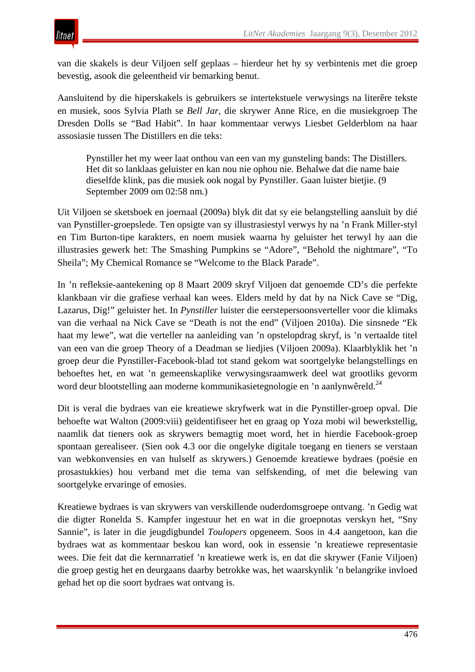van die skakels is deur Viljoen self geplaas – hierdeur het hy sy verbintenis met die groep bevestig, asook die geleentheid vir bemarking benut.

Aansluitend by die hiperskakels is gebruikers se intertekstuele verwysings na literêre tekste en musiek, soos Sylvia Plath se *Bell Jar*, die skrywer Anne Rice, en die musiekgroep The Dresden Dolls se "Bad Habit". In haar kommentaar verwys Liesbet Gelderblom na haar assosiasie tussen The Distillers en die teks:

Pynstiller het my weer laat onthou van een van my gunsteling bands: The Distillers. Het dit so lanklaas geluister en kan nou nie ophou nie. Behalwe dat die name baie dieselfde klink, pas die musiek ook nogal by Pynstiller. Gaan luister bietjie. (9 September 2009 om 02:58 nm.)

Uit Viljoen se sketsboek en joernaal (2009a) blyk dit dat sy eie belangstelling aansluit by dié van Pynstiller-groepslede. Ten opsigte van sy illustrasiestyl verwys hy na 'n Frank Miller-styl en Tim Burton-tipe karakters, en noem musiek waarna hy geluister het terwyl hy aan die illustrasies gewerk het: The Smashing Pumpkins se "Adore", "Behold the nightmare", "To Sheila"; My Chemical Romance se "Welcome to the Black Parade".

In 'n refleksie-aantekening op 8 Maart 2009 skryf Viljoen dat genoemde CD's die perfekte klankbaan vir die grafiese verhaal kan wees. Elders meld hy dat hy na Nick Cave se "Dig, Lazarus, Dig!" geluister het. In *Pynstiller* luister die eerstepersoonsverteller voor die klimaks van die verhaal na Nick Cave se "Death is not the end" (Viljoen 2010a). Die sinsnede "Ek haat my lewe", wat die verteller na aanleiding van 'n opstelopdrag skryf, is 'n vertaalde titel van een van die groep Theory of a Deadman se liedjies (Viljoen 2009a). Klaarblyklik het 'n groep deur die Pynstiller-Facebook-blad tot stand gekom wat soortgelyke belangstellings en behoeftes het, en wat 'n gemeenskaplike verwysingsraamwerk deel wat grootliks gevorm word deur blootstelling aan moderne kommunikasietegnologie en 'n aanlynwêreld.<sup>24</sup>

Dit is veral die bydraes van eie kreatiewe skryfwerk wat in die Pynstiller-groep opval. Die behoefte wat Walton (2009:viii) geïdentifiseer het en graag op Yoza mobi wil bewerkstellig, naamlik dat tieners ook as skrywers bemagtig moet word, het in hierdie Facebook-groep spontaan gerealiseer. (Sien ook 4.3 oor die ongelyke digitale toegang en tieners se verstaan van webkonvensies en van hulself as skrywers.) Genoemde kreatiewe bydraes (poësie en prosastukkies) hou verband met die tema van selfskending, of met die belewing van soortgelyke ervaringe of emosies.

Kreatiewe bydraes is van skrywers van verskillende ouderdomsgroepe ontvang. 'n Gedig wat die digter Ronelda S. Kampfer ingestuur het en wat in die groepnotas verskyn het, "Sny Sannie", is later in die jeugdigbundel *Toulopers* opgeneem. Soos in 4.4 aangetoon, kan die bydraes wat as kommentaar beskou kan word, ook in essensie 'n kreatiewe representasie wees. Die feit dat die kernnarratief 'n kreatiewe werk is, en dat die skrywer (Fanie Viljoen) die groep gestig het en deurgaans daarby betrokke was, het waarskynlik 'n belangrike invloed gehad het op die soort bydraes wat ontvang is.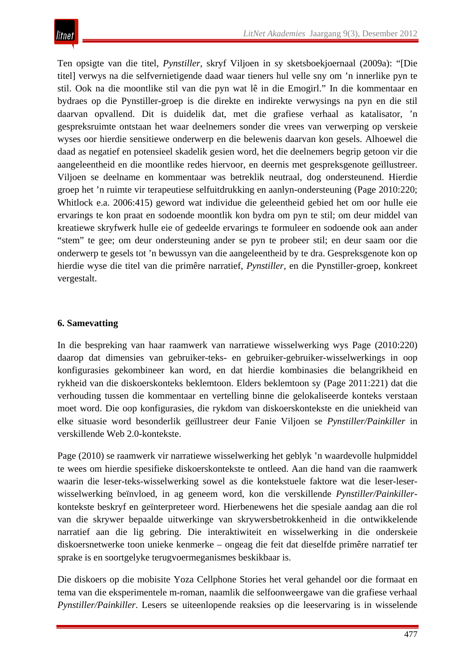Ten opsigte van die titel, *Pynstiller,* skryf Viljoen in sy sketsboekjoernaal (2009a): "[Die titel] verwys na die selfvernietigende daad waar tieners hul velle sny om 'n innerlike pyn te stil. Ook na die moontlike stil van die pyn wat lê in die Emogirl." In die kommentaar en bydraes op die Pynstiller-groep is die direkte en indirekte verwysings na pyn en die stil daarvan opvallend. Dit is duidelik dat, met die grafiese verhaal as katalisator, 'n gespreksruimte ontstaan het waar deelnemers sonder die vrees van verwerping op verskeie wyses oor hierdie sensitiewe onderwerp en die belewenis daarvan kon gesels. Alhoewel die daad as negatief en potensieel skadelik gesien word, het die deelnemers begrip getoon vir die aangeleentheid en die moontlike redes hiervoor, en deernis met gespreksgenote geïllustreer. Viljoen se deelname en kommentaar was betreklik neutraal, dog ondersteunend. Hierdie groep het 'n ruimte vir terapeutiese selfuitdrukking en aanlyn-ondersteuning (Page 2010:220; Whitlock e.a. 2006:415) geword wat individue die geleentheid gebied het om oor hulle eie ervarings te kon praat en sodoende moontlik kon bydra om pyn te stil; om deur middel van kreatiewe skryfwerk hulle eie of gedeelde ervarings te formuleer en sodoende ook aan ander "stem" te gee; om deur ondersteuning ander se pyn te probeer stil; en deur saam oor die onderwerp te gesels tot 'n bewussyn van die aangeleentheid by te dra. Gespreksgenote kon op hierdie wyse die titel van die primêre narratief, *Pynstiller*, en die Pynstiller-groep, konkreet vergestalt.

#### **6. Samevatting**

In die bespreking van haar raamwerk van narratiewe wisselwerking wys Page (2010:220) daarop dat dimensies van gebruiker-teks- en gebruiker-gebruiker-wisselwerkings in oop konfigurasies gekombineer kan word, en dat hierdie kombinasies die belangrikheid en rykheid van die diskoerskonteks beklemtoon. Elders beklemtoon sy (Page 2011:221) dat die verhouding tussen die kommentaar en vertelling binne die gelokaliseerde konteks verstaan moet word. Die oop konfigurasies, die rykdom van diskoerskontekste en die uniekheid van elke situasie word besonderlik geïllustreer deur Fanie Viljoen se *Pynstiller/Painkiller* in verskillende Web 2.0-kontekste.

Page (2010) se raamwerk vir narratiewe wisselwerking het geblyk 'n waardevolle hulpmiddel te wees om hierdie spesifieke diskoerskontekste te ontleed. Aan die hand van die raamwerk waarin die leser-teks-wisselwerking sowel as die kontekstuele faktore wat die leser-leserwisselwerking beïnvloed, in ag geneem word, kon die verskillende *Pynstiller/Painkiller*kontekste beskryf en geïnterpreteer word. Hierbenewens het die spesiale aandag aan die rol van die skrywer bepaalde uitwerkinge van skrywersbetrokkenheid in die ontwikkelende narratief aan die lig gebring. Die interaktiwiteit en wisselwerking in die onderskeie diskoersnetwerke toon unieke kenmerke – ongeag die feit dat dieselfde primêre narratief ter sprake is en soortgelyke terugvoermeganismes beskikbaar is.

Die diskoers op die mobisite Yoza Cellphone Stories het veral gehandel oor die formaat en tema van die eksperimentele m-roman, naamlik die selfoonweergawe van die grafiese verhaal *Pynstiller/Painkiller*. Lesers se uiteenlopende reaksies op die leeservaring is in wisselende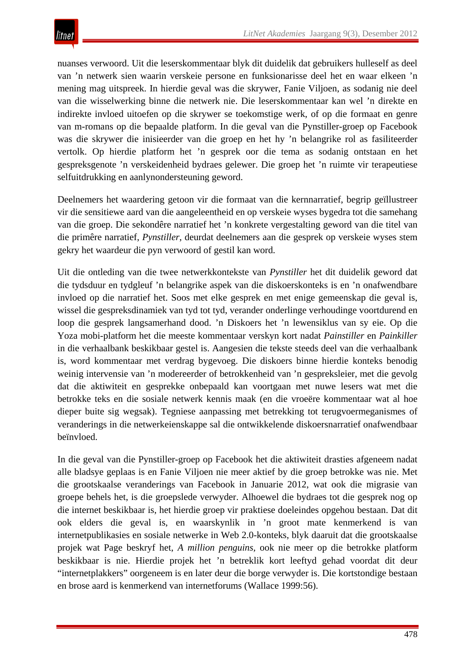nuanses verwoord. Uit die leserskommentaar blyk dit duidelik dat gebruikers hulleself as deel van 'n netwerk sien waarin verskeie persone en funksionarisse deel het en waar elkeen 'n mening mag uitspreek. In hierdie geval was die skrywer, Fanie Viljoen, as sodanig nie deel van die wisselwerking binne die netwerk nie. Die leserskommentaar kan wel 'n direkte en indirekte invloed uitoefen op die skrywer se toekomstige werk, of op die formaat en genre van m-romans op die bepaalde platform. In die geval van die Pynstiller-groep op Facebook was die skrywer die inisieerder van die groep en het hy 'n belangrike rol as fasiliteerder vertolk. Op hierdie platform het 'n gesprek oor die tema as sodanig ontstaan en het gespreksgenote 'n verskeidenheid bydraes gelewer. Die groep het 'n ruimte vir terapeutiese selfuitdrukking en aanlynondersteuning geword.

Deelnemers het waardering getoon vir die formaat van die kernnarratief, begrip geïllustreer vir die sensitiewe aard van die aangeleentheid en op verskeie wyses bygedra tot die samehang van die groep. Die sekondêre narratief het 'n konkrete vergestalting geword van die titel van die primêre narratief, *Pynstiller*, deurdat deelnemers aan die gesprek op verskeie wyses stem gekry het waardeur die pyn verwoord of gestil kan word.

Uit die ontleding van die twee netwerkkontekste van *Pynstiller* het dit duidelik geword dat die tydsduur en tydgleuf 'n belangrike aspek van die diskoerskonteks is en 'n onafwendbare invloed op die narratief het. Soos met elke gesprek en met enige gemeenskap die geval is, wissel die gespreksdinamiek van tyd tot tyd, verander onderlinge verhoudinge voortdurend en loop die gesprek langsamerhand dood. 'n Diskoers het 'n lewensiklus van sy eie. Op die Yoza mobi-platform het die meeste kommentaar verskyn kort nadat *Painstiller* en *Painkiller*  in die verhaalbank beskikbaar gestel is. Aangesien die tekste steeds deel van die verhaalbank is, word kommentaar met verdrag bygevoeg. Die diskoers binne hierdie konteks benodig weinig intervensie van 'n modereerder of betrokkenheid van 'n gespreksleier, met die gevolg dat die aktiwiteit en gesprekke onbepaald kan voortgaan met nuwe lesers wat met die betrokke teks en die sosiale netwerk kennis maak (en die vroeëre kommentaar wat al hoe dieper buite sig wegsak). Tegniese aanpassing met betrekking tot terugvoermeganismes of veranderings in die netwerkeienskappe sal die ontwikkelende diskoersnarratief onafwendbaar beïnvloed.

In die geval van die Pynstiller-groep op Facebook het die aktiwiteit drasties afgeneem nadat alle bladsye geplaas is en Fanie Viljoen nie meer aktief by die groep betrokke was nie. Met die grootskaalse veranderings van Facebook in Januarie 2012, wat ook die migrasie van groepe behels het, is die groepslede verwyder. Alhoewel die bydraes tot die gesprek nog op die internet beskikbaar is, het hierdie groep vir praktiese doeleindes opgehou bestaan. Dat dit ook elders die geval is, en waarskynlik in 'n groot mate kenmerkend is van internetpublikasies en sosiale netwerke in Web 2.0-konteks, blyk daaruit dat die grootskaalse projek wat Page beskryf het, *A million penguins,* ook nie meer op die betrokke platform beskikbaar is nie. Hierdie projek het 'n betreklik kort leeftyd gehad voordat dit deur "internetplakkers" oorgeneem is en later deur die borge verwyder is. Die kortstondige bestaan en brose aard is kenmerkend van internetforums (Wallace 1999:56).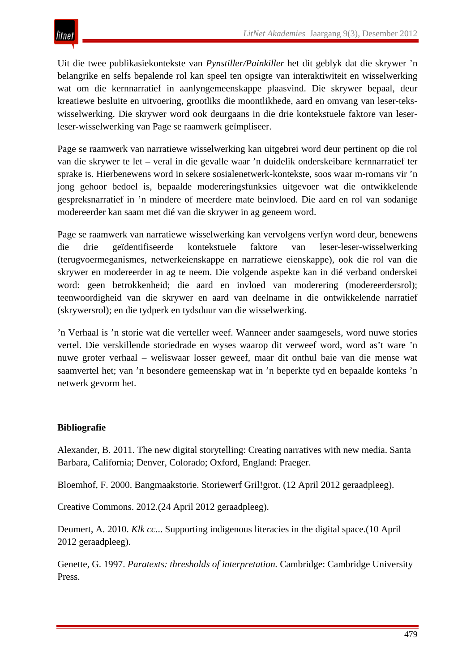Uit die twee publikasiekontekste van *Pynstiller/Painkiller* het dit geblyk dat die skrywer 'n belangrike en selfs bepalende rol kan speel ten opsigte van interaktiwiteit en wisselwerking wat om die kernnarratief in aanlyngemeenskappe plaasvind. Die skrywer bepaal, deur kreatiewe besluite en uitvoering, grootliks die moontlikhede, aard en omvang van leser-tekswisselwerking. Die skrywer word ook deurgaans in die drie kontekstuele faktore van leserleser-wisselwerking van Page se raamwerk geïmpliseer.

Page se raamwerk van narratiewe wisselwerking kan uitgebrei word deur pertinent op die rol van die skrywer te let – veral in die gevalle waar 'n duidelik onderskeibare kernnarratief ter sprake is. Hierbenewens word in sekere sosialenetwerk-kontekste, soos waar m-romans vir 'n jong gehoor bedoel is, bepaalde modereringsfunksies uitgevoer wat die ontwikkelende gespreksnarratief in 'n mindere of meerdere mate beïnvloed. Die aard en rol van sodanige modereerder kan saam met dié van die skrywer in ag geneem word.

Page se raamwerk van narratiewe wisselwerking kan vervolgens verfyn word deur, benewens die drie geïdentifiseerde kontekstuele faktore van leser-leser-wisselwerking (terugvoermeganismes, netwerkeienskappe en narratiewe eienskappe), ook die rol van die skrywer en modereerder in ag te neem. Die volgende aspekte kan in dié verband onderskei word: geen betrokkenheid; die aard en invloed van moderering (modereerdersrol); teenwoordigheid van die skrywer en aard van deelname in die ontwikkelende narratief (skrywersrol); en die tydperk en tydsduur van die wisselwerking.

'n Verhaal is 'n storie wat die verteller weef. Wanneer ander saamgesels, word nuwe stories vertel. Die verskillende storiedrade en wyses waarop dit verweef word, word as't ware 'n nuwe groter verhaal – weliswaar losser geweef, maar dit onthul baie van die mense wat saamvertel het; van 'n besondere gemeenskap wat in 'n beperkte tyd en bepaalde konteks 'n netwerk gevorm het.

## **Bibliografie**

Alexander, B. 2011. The new digital storytelling: Creating narratives with new media. Santa Barbara, California; Denver, Colorado; Oxford, England: Praeger.

Bloemhof, F. 2000. Bangmaakstorie. Storiewerf Gril!grot. (12 April 2012 geraadpleeg).

Creative Commons. 2012.(24 April 2012 geraadpleeg).

Deumert, A. 2010. *Klk cc*... Supporting indigenous literacies in the digital space.(10 April 2012 geraadpleeg).

Genette, G. 1997. *Paratexts: thresholds of interpretation.* Cambridge: Cambridge University Press.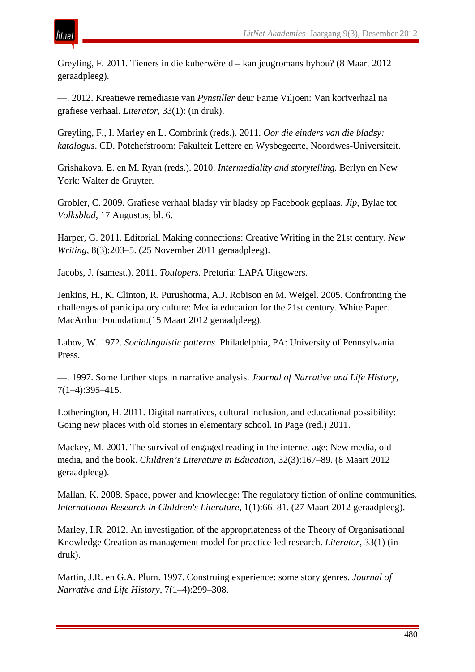

Greyling, F. 2011. Tieners in die kuberwêreld – kan jeugromans byhou? (8 Maart 2012 geraadpleeg).

—. 2012. Kreatiewe remediasie van *Pynstiller* deur Fanie Viljoen: Van kortverhaal na grafiese verhaal. *Literator,* 33(1): (in druk).

Greyling, F., I. Marley en L. Combrink (reds.). 2011. *Oor die einders van die bladsy: katalogus*. CD. Potchefstroom: Fakulteit Lettere en Wysbegeerte, Noordwes-Universiteit.

Grishakova, E. en M. Ryan (reds.). 2010. *Intermediality and storytelling.* Berlyn en New York: Walter de Gruyter.

Grobler, C. 2009. Grafiese verhaal bladsy vir bladsy op Facebook geplaas. *Jip*, Bylae tot *Volksblad*, 17 Augustus, bl. 6.

Harper, G. 2011. Editorial. Making connections: Creative Writing in the 21st century. *New Writing*, 8(3):203–5. (25 November 2011 geraadpleeg).

Jacobs, J. (samest.). 2011. *Toulopers.* Pretoria: LAPA Uitgewers.

Jenkins, H., K. Clinton, R. Purushotma, A.J. Robison en M. Weigel. 2005. Confronting the challenges of participatory culture: Media education for the 21st century. White Paper. MacArthur Foundation.(15 Maart 2012 geraadpleeg).

Labov, W. 1972. *Sociolinguistic patterns.* Philadelphia, PA: University of Pennsylvania Press.

—. 1997. Some further steps in narrative analysis. *Journal of Narrative and Life History*, 7(1–4):395–415.

Lotherington, H. 2011. Digital narratives, cultural inclusion, and educational possibility: Going new places with old stories in elementary school. In Page (red.) 2011.

Mackey, M. 2001. The survival of engaged reading in the internet age: New media, old media, and the book. *Children's Literature in Education*, 32(3):167–89. (8 Maart 2012 geraadpleeg).

Mallan, K. 2008. Space, power and knowledge: The regulatory fiction of online communities. *International Research in Children's Literature*, 1(1):66–81. (27 Maart 2012 geraadpleeg).

Marley, I.R. 2012. An investigation of the appropriateness of the Theory of Organisational Knowledge Creation as management model for practice-led research. *Literator*, 33(1) (in druk).

Martin, J.R. en G.A. Plum. 1997. Construing experience: some story genres. *Journal of Narrative and Life History,* 7(1–4):299–308.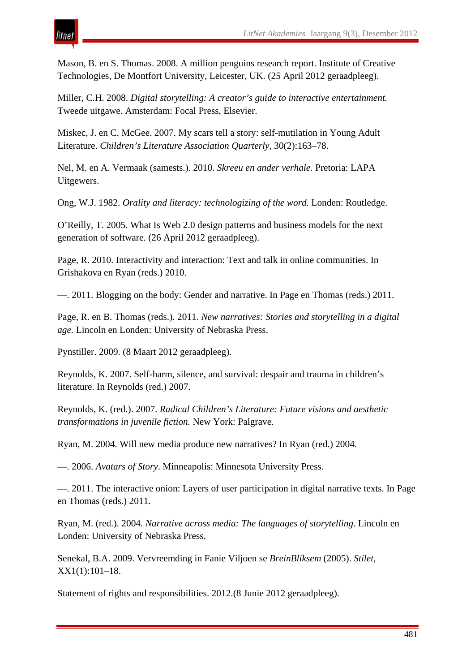Mason, B. en S. Thomas. 2008. A million penguins research report. Institute of Creative Technologies, De Montfort University, Leicester, UK. (25 April 2012 geraadpleeg).

Miller, C.H. 2008. *Digital storytelling: A creator's guide to interactive entertainment.* Tweede uitgawe. Amsterdam: Focal Press, Elsevier.

Miskec, J. en C. McGee. 2007. My scars tell a story: self-mutilation in Young Adult Literature. *Children's Literature Association Quarterly,* 30(2):163–78.

Nel, M. en A. Vermaak (samests.). 2010. *Skreeu en ander verhale.* Pretoria: LAPA Uitgewers.

Ong, W.J. 1982. *Orality and literacy: technologizing of the word.* Londen: Routledge.

O'Reilly, T. 2005. What Is Web 2.0 design patterns and business models for the next generation of software. (26 April 2012 geraadpleeg).

Page, R. 2010. Interactivity and interaction: Text and talk in online communities. In Grishakova en Ryan (reds.) 2010.

—. 2011. Blogging on the body: Gender and narrative. In Page en Thomas (reds.) 2011.

Page, R. en B. Thomas (reds.). 2011. *New narratives: Stories and storytelling in a digital age.* Lincoln en Londen: University of Nebraska Press.

Pynstiller. 2009. (8 Maart 2012 geraadpleeg).

tnei

Reynolds, K. 2007. Self-harm, silence, and survival: despair and trauma in children's literature. In Reynolds (red.) 2007.

Reynolds, K. (red.). 2007. *Radical Children's Literature: Future visions and aesthetic transformations in juvenile fiction.* New York: Palgrave.

Ryan, M. 2004. Will new media produce new narratives? In Ryan (red.) 2004.

—. 2006. *Avatars of Story*. Minneapolis: Minnesota University Press.

—. 2011. The interactive onion: Layers of user participation in digital narrative texts. In Page en Thomas (reds.) 2011.

Ryan, M. (red.). 2004. *Narrative across media: The languages of storytelling*. Lincoln en Londen: University of Nebraska Press.

Senekal, B.A. 2009. Vervreemding in Fanie Viljoen se *BreinBliksem* (2005). *Stilet*, XX1(1):101–18.

Statement of rights and responsibilities. 2012.(8 Junie 2012 geraadpleeg).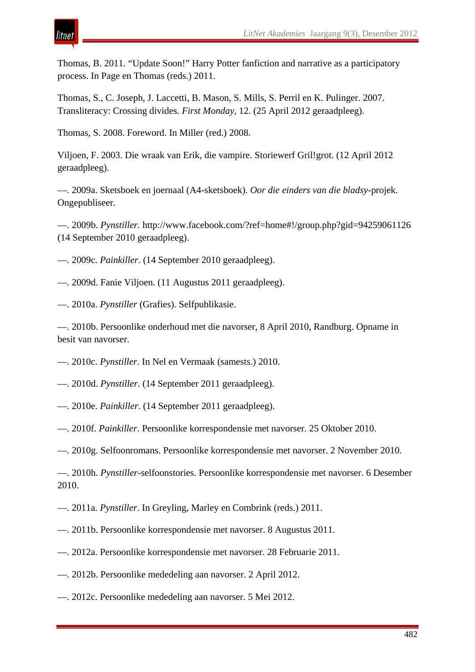Thomas, B. 2011. "Update Soon!" Harry Potter fanfiction and narrative as a participatory process. In Page en Thomas (reds.) 2011.

Thomas, S., C. Joseph, J. Laccetti, B. Mason, S. Mills, S. Perril en K. Pulinger. 2007. Transliteracy: Crossing divides. *First Monday*, 12. (25 April 2012 geraadpleeg).

Thomas, S. 2008. Foreword. In Miller (red.) 2008.

Viljoen, F. 2003. Die wraak van Erik, die vampire. Storiewerf Gril!grot. (12 April 2012 geraadpleeg).

—. 2009a. Sketsboek en joernaal (A4-sketsboek). *Oor die einders van die bladsy*-projek. Ongepubliseer.

—. 2009b. *Pynstiller.* http://www.facebook.com/?ref=home#!/group.php?gid=94259061126 (14 September 2010 geraadpleeg).

- —. 2009c. *Painkiller*. (14 September 2010 geraadpleeg).
- —. 2009d. Fanie Viljoen. (11 Augustus 2011 geraadpleeg).
- —. 2010a. *Pynstiller* (Grafies). Selfpublikasie.

—. 2010b. Persoonlike onderhoud met die navorser, 8 April 2010, Randburg. Opname in besit van navorser.

- —. 2010c. *Pynstiller*. In Nel en Vermaak (samests.) 2010.
- —. 2010d. *Pynstiller*. (14 September 2011 geraadpleeg).
- —. 2010e. *Painkiller*. (14 September 2011 geraadpleeg).
- —. 2010f. *Painkiller*. Persoonlike korrespondensie met navorser. 25 Oktober 2010.
- —. 2010g. Selfoonromans. Persoonlike korrespondensie met navorser. 2 November 2010.
- —. 2010h. *Pynstiller*-selfoonstories. Persoonlike korrespondensie met navorser. 6 Desember 2010.
- —. 2011a. *Pynstiller*. In Greyling, Marley en Combrink (reds.) 2011.
- —. 2011b. Persoonlike korrespondensie met navorser. 8 Augustus 2011.
- —. 2012a. Persoonlike korrespondensie met navorser. 28 Februarie 2011.
- —. 2012b. Persoonlike mededeling aan navorser. 2 April 2012.
- —. 2012c. Persoonlike mededeling aan navorser. 5 Mei 2012.

# itnet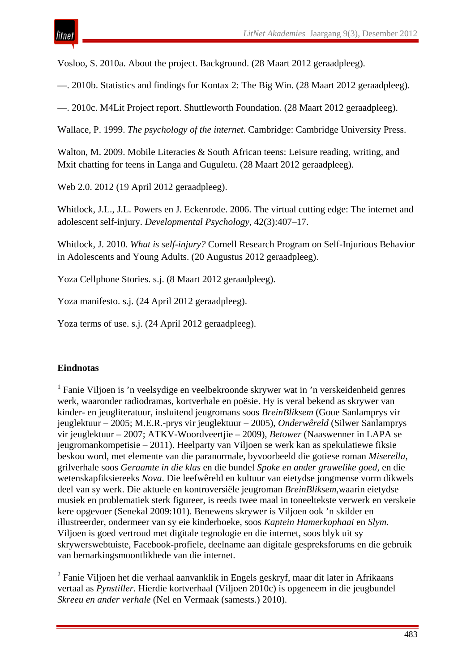Vosloo, S. 2010a. About the project. Background. (28 Maart 2012 geraadpleeg).

—. 2010b. Statistics and findings for Kontax 2: The Big Win. (28 Maart 2012 geraadpleeg).

—. 2010c. M4Lit Project report. Shuttleworth Foundation. (28 Maart 2012 geraadpleeg).

Wallace, P. 1999. *The psychology of the internet.* Cambridge: Cambridge University Press.

Walton, M. 2009. Mobile Literacies & South African teens: Leisure reading, writing, and Mxit chatting for teens in Langa and Guguletu. (28 Maart 2012 geraadpleeg).

Web 2.0. 2012 (19 April 2012 geraadpleeg).

Whitlock, J.L., J.L. Powers en J. Eckenrode. 2006. The virtual cutting edge: The internet and adolescent self-injury. *Developmental Psychology*, 42(3):407–17.

Whitlock, J. 2010. *What is self-injury?* Cornell Research Program on Self-Injurious Behavior in Adolescents and Young Adults. (20 Augustus 2012 geraadpleeg).

Yoza Cellphone Stories. s.j. (8 Maart 2012 geraadpleeg).

Yoza manifesto. s.j. (24 April 2012 geraadpleeg).

Yoza terms of use. s.j. (24 April 2012 geraadpleeg).

#### **Eindnotas**

<sup>1</sup> Fanie Viljoen is 'n veelsydige en veelbekroonde skrywer wat in 'n verskeidenheid genres werk, waaronder radiodramas, kortverhale en poësie. Hy is veral bekend as skrywer van kinder- en jeugliteratuur, insluitend jeugromans soos *BreinBliksem* (Goue Sanlamprys vir jeuglektuur – 2005; M.E.R.-prys vir jeuglektuur – 2005), *Onderwêreld* (Silwer Sanlamprys vir jeuglektuur – 2007; ATKV-Woordveertjie – 2009), *Betower* (Naaswenner in LAPA se jeugromankompetisie – 2011). Heelparty van Viljoen se werk kan as spekulatiewe fiksie beskou word, met elemente van die paranormale, byvoorbeeld die gotiese roman *Miserella*, grilverhale soos *Geraamte in die klas* en die bundel *Spoke en ander gruwelike goed*, en die wetenskapfiksiereeks *Nova*. Die leefwêreld en kultuur van eietydse jongmense vorm dikwels deel van sy werk. Die aktuele en kontroversiële jeugroman *BreinBliksem*,waarin eietydse musiek en problematiek sterk figureer, is reeds twee maal in toneeltekste verwerk en verskeie kere opgevoer (Senekal 2009:101). Benewens skrywer is Viljoen ook 'n skilder en illustreerder, ondermeer van sy eie kinderboeke, soos *Kaptein Hamerkophaai* en *Slym*. Viljoen is goed vertroud met digitale tegnologie en die internet, soos blyk uit sy skrywerswebtuiste, Facebook-profiele, deelname aan digitale gespreksforums en die gebruik van bemarkingsmoontlikhede van die internet.

 $2$  Fanie Viljoen het die verhaal aanvanklik in Engels geskryf, maar dit later in Afrikaans vertaal as *Pynstiller*. Hierdie kortverhaal (Viljoen 2010c) is opgeneem in die jeugbundel *Skreeu en ander verhale* (Nel en Vermaak (samests.) 2010).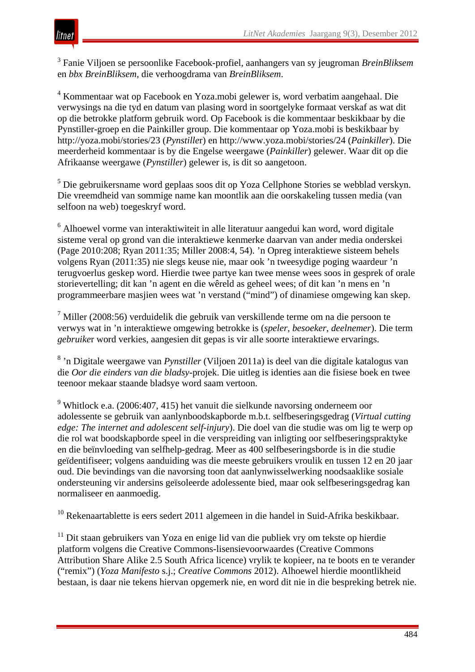

<sup>3</sup> Fanie Viljoen se persoonlike Facebook-profiel, aanhangers van sy jeugroman *BreinBliksem* en *bbx BreinBliksem*, die verhoogdrama van *BreinBliksem*.

<sup>4</sup> Kommentaar wat op Facebook en Yoza.mobi gelewer is, word verbatim aangehaal. Die verwysings na die tyd en datum van plasing word in soortgelyke formaat verskaf as wat dit op die betrokke platform gebruik word. Op Facebook is die kommentaar beskikbaar by die Pynstiller-groep en die Painkiller group. Die kommentaar op Yoza.mobi is beskikbaar by http://yoza.mobi/stories/23 (*Pynstille*r) en http://www.yoza.mobi/stories/24 (*Painkiller*). Die meerderheid kommentaar is by die Engelse weergawe (*Painkiller*) gelewer. Waar dit op die Afrikaanse weergawe (*Pynstiller*) gelewer is, is dit so aangetoon.

<sup>5</sup> Die gebruikersname word geplaas soos dit op Yoza Cellphone Stories se webblad verskyn. Die vreemdheid van sommige name kan moontlik aan die oorskakeling tussen media (van selfoon na web) toegeskryf word.

 $6$  Alhoewel vorme van interaktiwiteit in alle literatuur aangedui kan word, word digitale sisteme veral op grond van die interaktiewe kenmerke daarvan van ander media onderskei (Page 2010:208; Ryan 2011:35; Miller 2008:4, 54). 'n Opreg interaktiewe sisteem behels volgens Ryan (2011:35) nie slegs keuse nie, maar ook 'n tweesydige poging waardeur 'n terugvoerlus geskep word. Hierdie twee partye kan twee mense wees soos in gesprek of orale storievertelling; dit kan 'n agent en die wêreld as geheel wees; of dit kan 'n mens en 'n programmeerbare masjien wees wat 'n verstand ("mind") of dinamiese omgewing kan skep.

 $<sup>7</sup>$  Miller (2008:56) verduidelik die gebruik van verskillende terme om na die persoon te</sup> verwys wat in 'n interaktiewe omgewing betrokke is (*speler*, *besoeker*, *deelnemer*). Die term *gebruike*r word verkies, aangesien dit gepas is vir alle soorte interaktiewe ervarings.

<sup>8</sup> 'n Digitale weergawe van *Pynstiller* (Viljoen 2011a) is deel van die digitale katalogus van die *Oor die einders van die bladsy*-projek. Die uitleg is identies aan die fisiese boek en twee teenoor mekaar staande bladsye word saam vertoon.

<sup>9</sup> Whitlock e.a. (2006:407, 415) het vanuit die sielkunde navorsing onderneem oor adolessente se gebruik van aanlynboodskapborde m.b.t. selfbeseringsgedrag (*Virtual cutting edge: The internet and adolescent self-injury*). Die doel van die studie was om lig te werp op die rol wat boodskapborde speel in die verspreiding van inligting oor selfbeseringspraktyke en die beïnvloeding van selfhelp-gedrag. Meer as 400 selfbeseringsborde is in die studie geïdentifiseer; volgens aanduiding was die meeste gebruikers vroulik en tussen 12 en 20 jaar oud. Die bevindings van die navorsing toon dat aanlynwisselwerking noodsaaklike sosiale ondersteuning vir andersins geïsoleerde adolessente bied, maar ook selfbeseringsgedrag kan normaliseer en aanmoedig.

<sup>10</sup> Rekenaartablette is eers sedert 2011 algemeen in die handel in Suid-Afrika beskikbaar.

<sup>11</sup> Dit staan gebruikers van Yoza en enige lid van die publiek vry om tekste op hierdie platform volgens die Creative Commons-lisensievoorwaardes (Creative Commons Attribution Share Alike 2.5 South Africa licence) vrylik te kopieer, na te boots en te verander ("remix") (*Yoza Manifesto* s.j.; *Creative Commons* 2012). Alhoewel hierdie moontlikheid bestaan, is daar nie tekens hiervan opgemerk nie, en word dit nie in die bespreking betrek nie.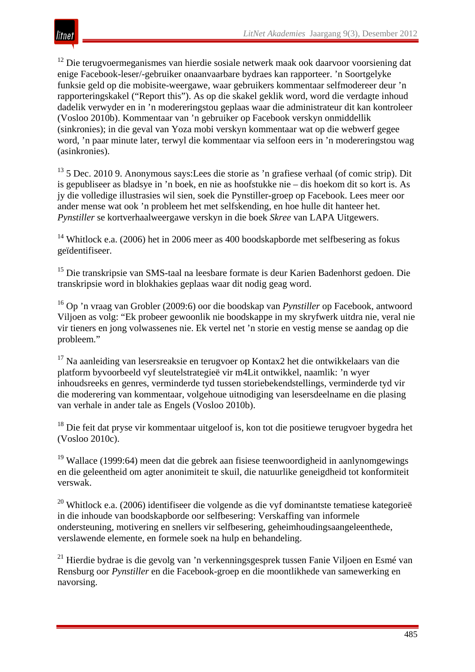

<sup>12</sup> Die terugvoermeganismes van hierdie sosiale netwerk maak ook daarvoor voorsiening dat enige Facebook-leser/-gebruiker onaanvaarbare bydraes kan rapporteer. 'n Soortgelyke funksie geld op die mobisite-weergawe, waar gebruikers kommentaar selfmodereer deur 'n rapporteringskakel ("Report this"). As op die skakel geklik word, word die verdagte inhoud dadelik verwyder en in 'n modereringstou geplaas waar die administrateur dit kan kontroleer (Vosloo 2010b). Kommentaar van 'n gebruiker op Facebook verskyn onmiddellik (sinkronies); in die geval van Yoza mobi verskyn kommentaar wat op die webwerf gegee word, 'n paar minute later, terwyl die kommentaar via selfoon eers in 'n modereringstou wag (asinkronies).

 $13$  5 Dec. 2010 9. Anonymous says: Lees die storie as 'n grafiese verhaal (of comic strip). Dit is gepubliseer as bladsye in 'n boek, en nie as hoofstukke nie – dis hoekom dit so kort is. As jy die volledige illustrasies wil sien, soek die Pynstiller-groep op Facebook. Lees meer oor ander mense wat ook 'n probleem het met selfskending, en hoe hulle dit hanteer het. *Pynstiller* se kortverhaalweergawe verskyn in die boek *Skree* van LAPA Uitgewers.

<sup>14</sup> Whitlock e.a. (2006) het in 2006 meer as 400 boodskapborde met selfbesering as fokus geïdentifiseer.

<sup>15</sup> Die transkripsie van SMS-taal na leesbare formate is deur Karien Badenhorst gedoen. Die transkripsie word in blokhakies geplaas waar dit nodig geag word.

<sup>16</sup> Op 'n vraag van Grobler (2009:6) oor die boodskap van *Pynstiller* op Facebook, antwoord Viljoen as volg: "Ek probeer gewoonlik nie boodskappe in my skryfwerk uitdra nie, veral nie vir tieners en jong volwassenes nie. Ek vertel net 'n storie en vestig mense se aandag op die probleem."

<sup>17</sup> Na aanleiding van lesersreaksie en terugvoer op Kontax2 het die ontwikkelaars van die platform byvoorbeeld vyf sleutelstrategieë vir m4Lit ontwikkel, naamlik: 'n wyer inhoudsreeks en genres, verminderde tyd tussen storiebekendstellings, verminderde tyd vir die moderering van kommentaar, volgehoue uitnodiging van lesersdeelname en die plasing van verhale in ander tale as Engels (Vosloo 2010b).

<sup>18</sup> Die feit dat pryse vir kommentaar uitgeloof is, kon tot die positiewe terugvoer bygedra het (Vosloo 2010c).

<sup>19</sup> Wallace (1999:64) meen dat die gebrek aan fisiese teenwoordigheid in aanlynomgewings en die geleentheid om agter anonimiteit te skuil, die natuurlike geneigdheid tot konformiteit verswak.

<sup>20</sup> Whitlock e.a. (2006) identifiseer die volgende as die vyf dominantste tematiese kategorieë in die inhoude van boodskapborde oor selfbesering: Verskaffing van informele ondersteuning, motivering en snellers vir selfbesering, geheimhoudingsaangeleenthede, verslawende elemente, en formele soek na hulp en behandeling.

<sup>21</sup> Hierdie bydrae is die gevolg van 'n verkenningsgesprek tussen Fanie Viljoen en Esmé van Rensburg oor *Pynstiller* en die Facebook-groep en die moontlikhede van samewerking en navorsing.